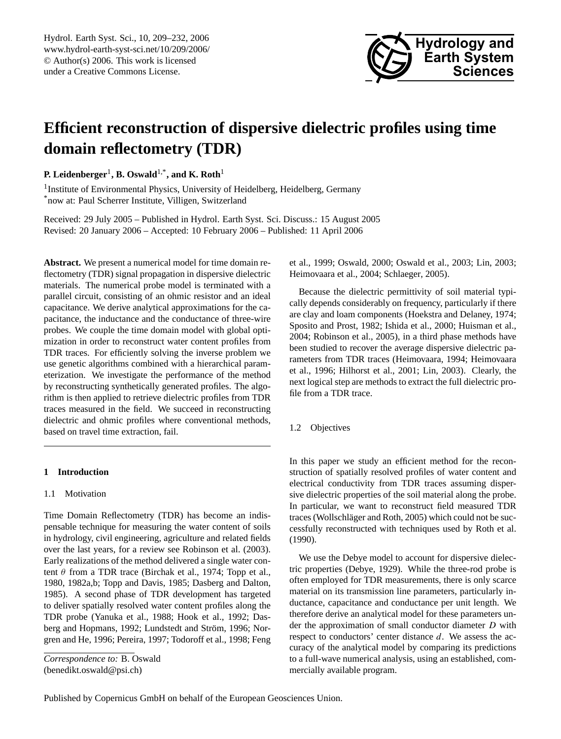

# **Efficient reconstruction of dispersive dielectric profiles using time domain reflectometry (TDR)**

**P. Leidenberger**<sup>1</sup> **, B. Oswald**1,\***, and K. Roth**<sup>1</sup>

<sup>1</sup> Institute of Environmental Physics, University of Heidelberg, Heidelberg, Germany \*now at: Paul Scherrer Institute, Villigen, Switzerland

Received: 29 July 2005 – Published in Hydrol. Earth Syst. Sci. Discuss.: 15 August 2005 Revised: 20 January 2006 – Accepted: 10 February 2006 – Published: 11 April 2006

**Abstract.** We present a numerical model for time domain reflectometry (TDR) signal propagation in dispersive dielectric materials. The numerical probe model is terminated with a parallel circuit, consisting of an ohmic resistor and an ideal capacitance. We derive analytical approximations for the capacitance, the inductance and the conductance of three-wire probes. We couple the time domain model with global optimization in order to reconstruct water content profiles from TDR traces. For efficiently solving the inverse problem we use genetic algorithms combined with a hierarchical parameterization. We investigate the performance of the method by reconstructing synthetically generated profiles. The algorithm is then applied to retrieve dielectric profiles from TDR traces measured in the field. We succeed in reconstructing dielectric and ohmic profiles where conventional methods, based on travel time extraction, fail.

## **1 Introduction**

## 1.1 Motivation

Time Domain Reflectometry (TDR) has become an indispensable technique for measuring the water content of soils in hydrology, civil engineering, agriculture and related fields over the last years, for a review see Robinson et al. (2003). Early realizations of the method delivered a single water content  $\theta$  from a TDR trace (Birchak et al., 1974; Topp et al., 1980, 1982a,b; Topp and Davis, 1985; Dasberg and Dalton, 1985). A second phase of TDR development has targeted to deliver spatially resolved water content profiles along the TDR probe (Yanuka et al., 1988; Hook et al., 1992; Dasberg and Hopmans, 1992; Lundstedt and Ström, 1996; Norgren and He, 1996; Pereira, 1997; Todoroff et al., 1998; Feng

*Correspondence to:* B. Oswald (benedikt.oswald@psi.ch)

et al., 1999; Oswald, 2000; Oswald et al., 2003; Lin, 2003; Heimovaara et al., 2004; Schlaeger, 2005).

Because the dielectric permittivity of soil material typically depends considerably on frequency, particularly if there are clay and loam components (Hoekstra and Delaney, 1974; Sposito and Prost, 1982; Ishida et al., 2000; Huisman et al., 2004; Robinson et al., 2005), in a third phase methods have been studied to recover the average dispersive dielectric parameters from TDR traces (Heimovaara, 1994; Heimovaara et al., 1996; Hilhorst et al., 2001; Lin, 2003). Clearly, the next logical step are methods to extract the full dielectric profile from a TDR trace.

1.2 Objectives

In this paper we study an efficient method for the reconstruction of spatially resolved profiles of water content and electrical conductivity from TDR traces assuming dispersive dielectric properties of the soil material along the probe. In particular, we want to reconstruct field measured TDR traces (Wollschläger and Roth, 2005) which could not be successfully reconstructed with techniques used by Roth et al. (1990).

We use the Debye model to account for dispersive dielectric properties (Debye, 1929). While the three-rod probe is often employed for TDR measurements, there is only scarce material on its transmission line parameters, particularly inductance, capacitance and conductance per unit length. We therefore derive an analytical model for these parameters under the approximation of small conductor diameter D with respect to conductors' center distance  $d$ . We assess the accuracy of the analytical model by comparing its predictions to a full-wave numerical analysis, using an established, commercially available program.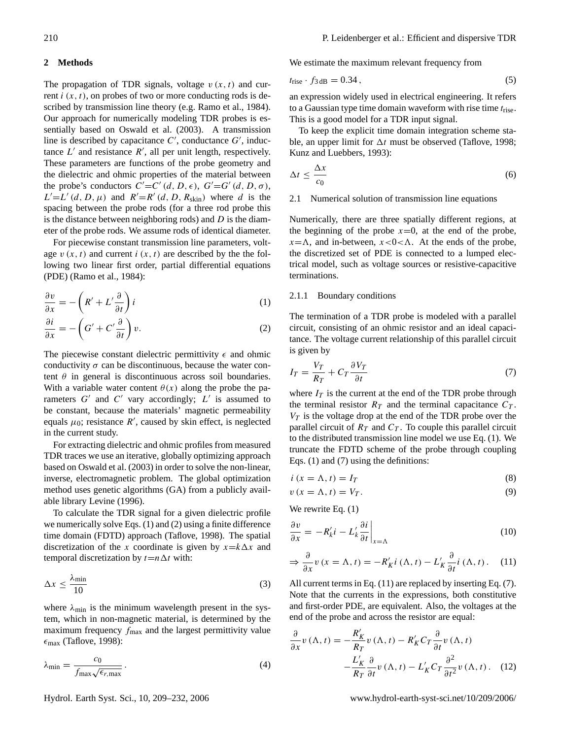#### **2 Methods**

The propagation of TDR signals, voltage  $v(x, t)$  and current  $i(x, t)$ , on probes of two or more conducting rods is described by transmission line theory (e.g. Ramo et al., 1984). Our approach for numerically modeling TDR probes is essentially based on Oswald et al. (2003). A transmission line is described by capacitance  $C'$ , conductance  $G'$ , inductance  $L'$  and resistance  $R'$ , all per unit length, respectively. These parameters are functions of the probe geometry and the dielectric and ohmic properties of the material between the probe's conductors  $C' = C'(d, D, \epsilon)$ ,  $G' = G'(d, D, \sigma)$ ,  $L'=L'(d, D, \mu)$  and  $R'=R'(d, D, R_{\text{skin}})$  where d is the spacing between the probe rods (for a three rod probe this is the distance between neighboring rods) and  $D$  is the diameter of the probe rods. We assume rods of identical diameter.

For piecewise constant transmission line parameters, voltage  $v(x, t)$  and current  $i(x, t)$  are described by the the following two linear first order, partial differential equations (PDE) (Ramo et al., 1984):

$$
\frac{\partial v}{\partial x} = -\left(R' + L'\frac{\partial}{\partial t}\right)i\tag{1}
$$

$$
\frac{\partial i}{\partial x} = -\left(G' + C'\frac{\partial}{\partial t}\right)v.
$$
 (2)

The piecewise constant dielectric permittivity  $\epsilon$  and ohmic conductivity  $\sigma$  can be discontinuous, because the water content  $\theta$  in general is discontinuous across soil boundaries. With a variable water content  $\theta(x)$  along the probe the parameters  $G'$  and  $C'$  vary accordingly;  $L'$  is assumed to be constant, because the materials' magnetic permeability equals  $\mu_0$ ; resistance  $R'$ , caused by skin effect, is neglected in the current study.

For extracting dielectric and ohmic profiles from measured TDR traces we use an iterative, globally optimizing approach based on Oswald et al. (2003) in order to solve the non-linear, inverse, electromagnetic problem. The global optimization method uses genetic algorithms (GA) from a publicly available library Levine (1996).

To calculate the TDR signal for a given dielectric profile we numerically solve Eqs. (1) and (2) using a finite difference time domain (FDTD) approach (Taflove, 1998). The spatial discretization of the x coordinate is given by  $x = k\Delta x$  and temporal discretization by  $t=n\Delta t$  with:

$$
\Delta x \le \frac{\lambda_{\text{min}}}{10} \tag{3}
$$

where  $\lambda_{\text{min}}$  is the minimum wavelength present in the system, which in non-magnetic material, is determined by the maximum frequency  $f_{\text{max}}$  and the largest permittivity value  $\epsilon_{\text{max}}$  (Taflove, 1998):

$$
\lambda_{\min} = \frac{c_0}{f_{\max} \sqrt{\epsilon_{r,\max}}} \,. \tag{4}
$$

We estimate the maximum relevant frequency from

$$
t_{\text{rise}} \cdot f_{3\,\text{dB}} = 0.34\,,\tag{5}
$$

an expression widely used in electrical engineering. It refers to a Gaussian type time domain waveform with rise time  $t_{\text{rise}}$ . This is a good model for a TDR input signal.

To keep the explicit time domain integration scheme stable, an upper limit for  $\Delta t$  must be observed (Taflove, 1998; Kunz and Luebbers, 1993):

$$
\Delta t \le \frac{\Delta x}{c_0} \tag{6}
$$

## 2.1 Numerical solution of transmission line equations

Numerically, there are three spatially different regions, at the beginning of the probe  $x=0$ , at the end of the probe,  $x=\Lambda$ , and in-between,  $x<0<\Lambda$ . At the ends of the probe, the discretized set of PDE is connected to a lumped electrical model, such as voltage sources or resistive-capacitive terminations.

## 2.1.1 Boundary conditions

The termination of a TDR probe is modeled with a parallel circuit, consisting of an ohmic resistor and an ideal capacitance. The voltage current relationship of this parallel circuit is given by

$$
I_T = \frac{V_T}{R_T} + C_T \frac{\partial V_T}{\partial t} \tag{7}
$$

where  $I_T$  is the current at the end of the TDR probe through the terminal resistor  $R_T$  and the terminal capacitance  $C_T$ .  $V_T$  is the voltage drop at the end of the TDR probe over the parallel circuit of  $R_T$  and  $C_T$ . To couple this parallel circuit to the distributed transmission line model we use Eq. (1). We truncate the FDTD scheme of the probe through coupling Eqs. (1) and (7) using the definitions:

$$
i\left(x=\Lambda,t\right)=I_{T}\tag{8}
$$

$$
v(x = \Lambda, t) = V_T. \tag{9}
$$

We rewrite Eq.  $(1)$ 

$$
\frac{\partial v}{\partial x} = -R'_k i - L'_k \frac{\partial i}{\partial t}\bigg|_{x=\Lambda} \tag{10}
$$

$$
\Rightarrow \frac{\partial}{\partial x} v(x = \Lambda, t) = -R'_K i(\Lambda, t) - L'_K \frac{\partial}{\partial t} i(\Lambda, t). \quad (11)
$$

All current terms in Eq. (11) are replaced by inserting Eq. (7). Note that the currents in the expressions, both constitutive and first-order PDE, are equivalent. Also, the voltages at the end of the probe and across the resistor are equal:

$$
\frac{\partial}{\partial x}v(\Lambda,t) = -\frac{R'_K}{R_T}v(\Lambda,t) - R'_K C_T \frac{\partial}{\partial t}v(\Lambda,t) \n- \frac{L'_K}{R_T} \frac{\partial}{\partial t}v(\Lambda,t) - L'_K C_T \frac{\partial^2}{\partial t^2}v(\Lambda,t).
$$
 (12)

Hydrol. Earth Syst. Sci., 10, 209–232, 2006 www.hydrol-earth-syst-sci.net/10/209/2006/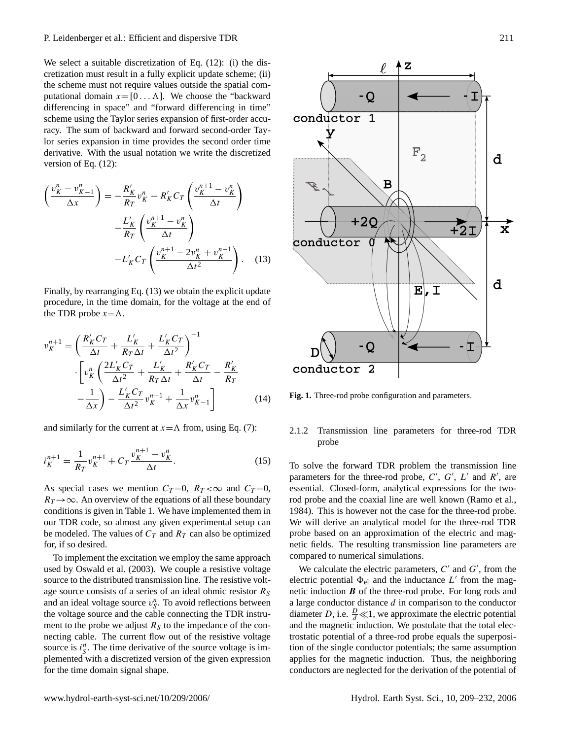We select a suitable discretization of Eq. (12): (i) the discretization must result in a fully explicit update scheme; (ii) the scheme must not require values outside the spatial computational domain  $x = [0 \dots \Lambda]$ . We choose the "backward" differencing in space" and "forward differencing in time" scheme using the Taylor series expansion of first-order accuracy. The sum of backward and forward second-order Taylor series expansion in time provides the second order time derivative. With the usual notation we write the discretized version of Eq. (12):

$$
\left(\frac{v_K^n - v_{K-1}^n}{\Delta x}\right) = -\frac{R'_K}{R_T}v_K^n - R'_K C_T \left(\frac{v_K^{n+1} - v_K^n}{\Delta t}\right)
$$

$$
-\frac{L'_K}{R_T} \left(\frac{v_K^{n+1} - v_K^n}{\Delta t}\right)
$$

$$
-L'_K C_T \left(\frac{v_K^{n+1} - 2v_K^n + v_K^{n-1}}{\Delta t^2}\right). \quad (13)
$$

Finally, by rearranging Eq. (13) we obtain the explicit update procedure, in the time domain, for the voltage at the end of the TDR probe  $x = \Lambda$ .

$$
v_K^{n+1} = \left(\frac{R_K' C_T}{\Delta t} + \frac{L_K'}{R_T \Delta t} + \frac{L_K' C_T}{\Delta t^2}\right)^{-1} \n\cdot \left[v_K^n \left(\frac{2L_K' C_T}{\Delta t^2} + \frac{L_K'}{R_T \Delta t} + \frac{R_K' C_T}{\Delta t} - \frac{R_K'}{R_T} - \frac{1}{\Delta x}\right) - \frac{L_K' C_T}{\Delta t^2} v_K^{n-1} + \frac{1}{\Delta x} v_{K-1}^n\right]
$$
\n(14)

and similarly for the current at  $x = \Lambda$  from, using Eq. (7):

$$
i_K^{n+1} = \frac{1}{R_T} v_K^{n+1} + C_T \frac{v_K^{n+1} - v_K^n}{\Delta t}.
$$
 (15)

As special cases we mention  $C_T = 0$ ,  $R_T < \infty$  and  $C_T = 0$ ,  $R_T \rightarrow \infty$ . An overview of the equations of all these boundary conditions is given in Table 1. We have implemented them in our TDR code, so almost any given experimental setup can be modeled. The values of  $C_T$  and  $R_T$  can also be optimized for, if so desired.

To implement the excitation we employ the same approach used by Oswald et al. (2003). We couple a resistive voltage source to the distributed transmission line. The resistive voltage source consists of a series of an ideal ohmic resistor  $R<sub>S</sub>$ and an ideal voltage source  $v_S^n$ . To avoid reflections between the voltage source and the cable connecting the TDR instrument to the probe we adjust  $R<sub>S</sub>$  to the impedance of the connecting cable. The current flow out of the resistive voltage source is  $i_S^n$ . The time derivative of the source voltage is implemented with a discretized version of the given expression for the time domain signal shape.



**Fig. 1.** Three-rod probe configuration and parameters.

## 2.1.2 Transmission line parameters for three-rod TDR probe

To solve the forward TDR problem the transmission line parameters for the three-rod probe,  $C'$ ,  $G'$ ,  $L'$  and  $R'$ , are essential. Closed-form, analytical expressions for the tworod probe and the coaxial line are well known (Ramo et al., 1984). This is however not the case for the three-rod probe. We will derive an analytical model for the three-rod TDR probe based on an approximation of the electric and magnetic fields. The resulting transmission line parameters are compared to numerical simulations.

We calculate the electric parameters,  $C'$  and  $G'$ , from the electric potential  $\Phi_{el}$  and the inductance L' from the magnetic induction  $\boldsymbol{B}$  of the three-rod probe. For long rods and a large conductor distance  $d$  in comparison to the conductor diameter *D*, i.e.  $\frac{D}{d} \ll 1$ , we approximate the electric potential and the magnetic induction. We postulate that the total electrostatic potential of a three-rod probe equals the superposition of the single conductor potentials; the same assumption applies for the magnetic induction. Thus, the neighboring conductors are neglected for the derivation of the potential of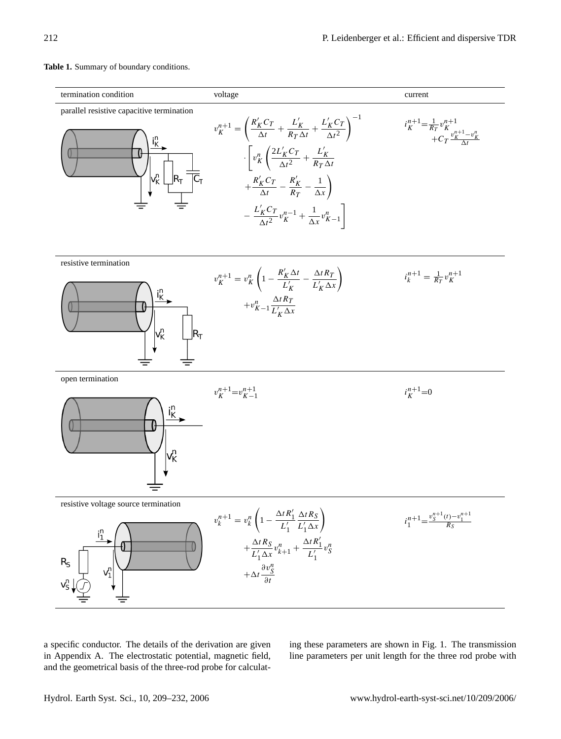#### termination condition voltage current voltage current current voltage current current current current voltage current current current current current current current current current current current current current current parallel resistive capacitive termination  $\setminus$ <sup>-1</sup>  $R_K^{\prime}C_T$  $\frac{1}{\Delta t} \left( \frac{L_K'}{R_T} \right)$  $\frac{L'_K}{R_T \Delta t} + \frac{L'_K C_T}{\Delta t^2}$  $i_K^{n+1} = \frac{1}{R_T} v_K^{n+1}$  $v_K^{n+1} =$ + $C_T \frac{v_K^{n+1} - v_K^n}{\Delta t}$  $\Delta t^2$  $\int \frac{2L'_{K}C_{T}}{2}$  $\frac{L'_{K}C_{T}}{\Delta t^{2}} + \frac{L'_{K}}{R_{T}}$  $\sqrt{ }$  $v_K^n$ ·  $R_T \Delta t$  $+\frac{R'_{K}C_{T}}{A}$  $\frac{1}{\Delta t} \frac{C_T}{C_T} - \frac{R'_K}{R_T}$  $\frac{R'_K}{R_T} - \frac{1}{\Delta x}$  $-\frac{L'_K C_T}{2}$ 1  $\frac{1}{\Delta t^2} v_K^{n-1} + \frac{1}{\Delta t}$  $\frac{1}{\Delta x}v_{K-1}^n$ resistive termination  $1 - \frac{R'_K \Delta t}{I}$  $\sqrt{2}$  $\frac{\Delta t R_T}{L_K' \Delta x}$  $-\frac{\Delta t R_T}{\Delta t}$  $i_k^{n+1} = \frac{1}{R_T} v_K^{n+1}$  $v_K^{n+1} = v_K^n$  $L'_K$  $+v_{K-1}^n \frac{\Delta t R_I}{L_I \Delta t}$  $L'_{K} \Delta x$ open termination  $v_K^{n+1} = v_{K-1}^{n+1}$  $i_K^{n+1} = 0$  $\frac{i_{K}^{n}}{n}$ v<mark>n</mark> resistive voltage source termination  $1-\frac{\Delta t R_1'}{R_2'}$  $\sqrt{2}$  $\frac{\Delta t R_S}{L_1 \Delta x}$  $\Delta t$ R<sub>S</sub>  $i_1^{n+1} = \frac{v_S^{n+1}(t) - v_1^{n+1}}{R_S}$  $v_k^{n+1} = v_k^n$  $L'_1$  $\Delta t R_1'$  $+\frac{\Delta t R_S}{\Delta t}$  $\frac{\Delta t \kappa_S}{L_1' \Delta x} v_{k+1}^n +$  $v_S^n$  $L'_1$  $+\Delta t \frac{\partial v_S^n}{\partial x}$ ∂t

**Table 1.** Summary of boundary conditions.

a specific conductor. The details of the derivation are given in Appendix A. The electrostatic potential, magnetic field, and the geometrical basis of the three-rod probe for calculating these parameters are shown in Fig. 1. The transmission line parameters per unit length for the three rod probe with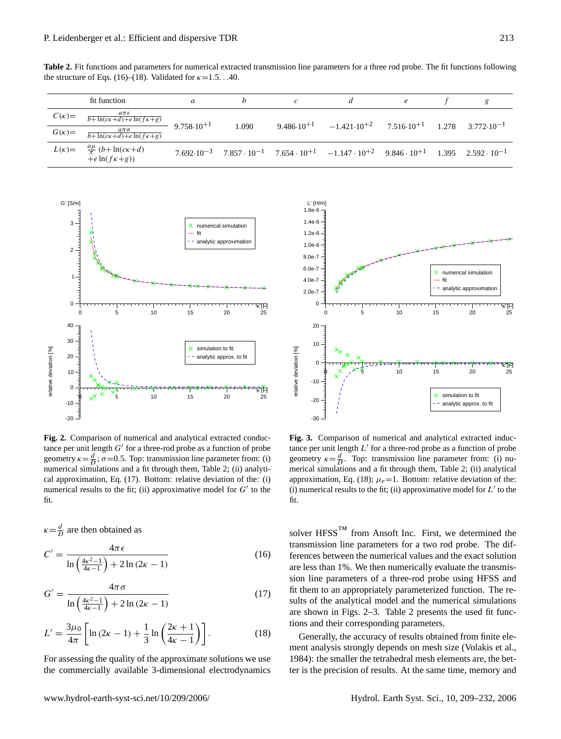**Table 2.** Fit functions and parameters for numerical extracted transmission line parameters for a three rod probe. The fit functions following the structure of Eqs. (16)–(18). Validated for  $\kappa$ =1.5. . .40.

|              | fit function                                                           | a                     |       |                       |                                                                                                                                              | e | g                             |
|--------------|------------------------------------------------------------------------|-----------------------|-------|-----------------------|----------------------------------------------------------------------------------------------------------------------------------------------|---|-------------------------------|
| $C(\kappa)=$ | $a\pi\epsilon$<br>$b+\ln(c\kappa+d)+e\ln(f\kappa+g)$                   |                       |       |                       | $-1.421 \cdot 10^{+2}$ 7.516 $\cdot 10^{+1}$                                                                                                 |   |                               |
| $G(\kappa)=$ | $a\pi\sigma$<br>$\overline{b + \ln(c\kappa + d) + e \ln(f\kappa + g)}$ | $9.758 \cdot 10^{+1}$ | 1.090 | $9.486 \cdot 10^{+1}$ |                                                                                                                                              |   | $1.278$ $3.772 \cdot 10^{-1}$ |
| $L(\kappa)=$ | $\frac{a\mu}{\pi}$ (b+ln(ck+d)<br>$+e \ln(f\kappa+g))$                 |                       |       |                       | $7.692 \cdot 10^{-3}$ $7.857 \cdot 10^{-1}$ $7.654 \cdot 10^{+1}$ $-1.147 \cdot 10^{+2}$ $9.846 \cdot 10^{+1}$ $1.395$ $2.592 \cdot 10^{-1}$ |   |                               |

(16)



**Fig. 2.** Comparison of numerical and analytical extracted conductance per unit length  $G'$  for a three-rod probe as a function of probe geometry  $\kappa = \frac{d}{D}$ ;  $\sigma = 0.5$ . Top: transmission line parameter from: (i) numerical simulations and a fit through them, Table 2; (ii) analytical approximation, Eq. (17). Bottom: relative deviation of the: (i) numerical results to the fit; (ii) approximative model for  $G'$  to the fit.

$$
\kappa = \frac{d}{D}
$$
 are then obtained as  

$$
C' = \frac{4\pi \epsilon}{\ln\left(\frac{4\kappa^2 - 1}{4\kappa - 1}\right) + 2\ln(2\kappa - 1)}
$$

$$
G' = \frac{4\pi\sigma}{\ln\left(\frac{4\kappa^2 - 1}{4\kappa - 1}\right) + 2\ln(2\kappa - 1)}\tag{17}
$$

$$
L' = \frac{3\mu_0}{4\pi} \left[ \ln (2\kappa - 1) + \frac{1}{3} \ln \left( \frac{2\kappa + 1}{4\kappa - 1} \right) \right].
$$
 (18)

For assessing the quality of the approximate solutions we use the commercially available 3-dimensional electrodynamics



**Fig. 3.** Comparison of numerical and analytical extracted inductance per unit length  $L'$  for a three-rod probe as a function of probe geometry  $\kappa = \frac{d}{D}$ . Top: transmission line parameter from: (i) numerical simulations and a fit through them, Table 2; (ii) analytical approximation, Eq. (18);  $\mu_r = 1$ . Bottom: relative deviation of the: (i) numerical results to the fit; (ii) approximative model for  $L'$  to the fit.

solver  $HFSS<sup>TM</sup>$  from Ansoft Inc. First, we determined the transmission line parameters for a two rod probe. The differences between the numerical values and the exact solution are less than 1%. We then numerically evaluate the transmission line parameters of a three-rod probe using HFSS and fit them to an appropriately parameterized function. The results of the analytical model and the numerical simulations are shown in Figs. 2–3. Table 2 presents the used fit functions and their corresponding parameters.

Generally, the accuracy of results obtained from finite element analysis strongly depends on mesh size (Volakis et al., 1984): the smaller the tetrahedral mesh elements are, the better is the precision of results. At the same time, memory and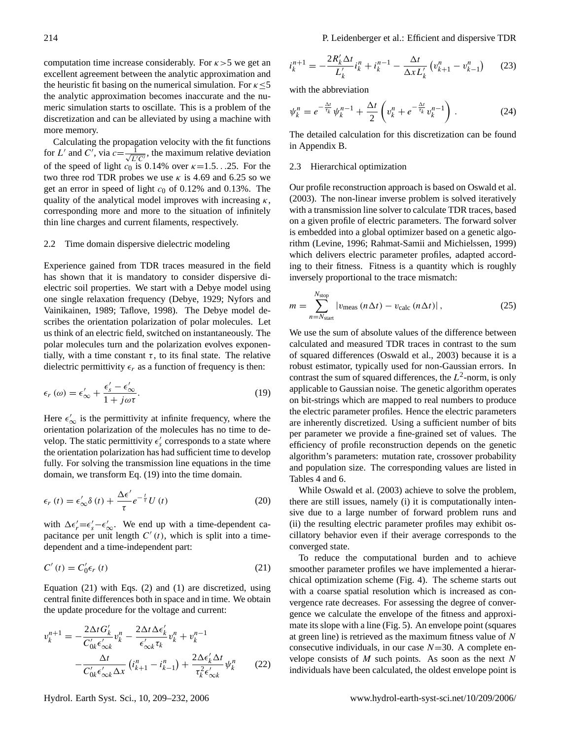computation time increase considerably. For  $\kappa > 5$  we get an excellent agreement between the analytic approximation and the heuristic fit basing on the numerical simulation. For  $\kappa \leq 5$ the analytic approximation becomes inaccurate and the numeric simulation starts to oscillate. This is a problem of the discretization and can be alleviated by using a machine with more memory.

Calculating the propagation velocity with the fit functions for L' and C', via  $c = \frac{1}{\sqrt{L'C'}}$ , the maximum relative deviation of the speed of light  $c_0$  is 0.14% over  $\kappa = 1.5...25$ . For the two three rod TDR probes we use  $\kappa$  is 4.69 and 6.25 so we get an error in speed of light  $c_0$  of 0.12% and 0.13%. The quality of the analytical model improves with increasing  $\kappa$ , corresponding more and more to the situation of infinitely thin line charges and current filaments, respectively.

#### 2.2 Time domain dispersive dielectric modeling

Experience gained from TDR traces measured in the field has shown that it is mandatory to consider dispersive dielectric soil properties. We start with a Debye model using one single relaxation frequency (Debye, 1929; Nyfors and Vainikainen, 1989; Taflove, 1998). The Debye model describes the orientation polarization of polar molecules. Let us think of an electric field, switched on instantaneously. The polar molecules turn and the polarization evolves exponentially, with a time constant  $\tau$ , to its final state. The relative dielectric permittivity  $\epsilon_r$  as a function of frequency is then:

$$
\epsilon_r(\omega) = \epsilon'_{\infty} + \frac{\epsilon'_{s} - \epsilon'_{\infty}}{1 + j\omega\tau}.
$$
\n(19)

Here  $\epsilon_{\infty}'$  is the permittivity at infinite frequency, where the orientation polarization of the molecules has no time to develop. The static permittivity  $\epsilon'_{s}$  corresponds to a state where the orientation polarization has had sufficient time to develop fully. For solving the transmission line equations in the time domain, we transform Eq. (19) into the time domain.

$$
\epsilon_r(t) = \epsilon'_{\infty} \delta(t) + \frac{\Delta \epsilon'}{\tau} e^{-\frac{t}{\tau}} U(t)
$$
\n(20)

with  $\Delta \epsilon'_r = \epsilon'_s - \epsilon'_\infty$ . We end up with a time-dependent capacitance per unit length  $C'(t)$ , which is split into a timedependent and a time-independent part:

$$
C'(t) = C'_0 \epsilon_r(t) \tag{21}
$$

Equation (21) with Eqs. (2) and (1) are discretized, using central finite differences both in space and in time. We obtain the update procedure for the voltage and current:

$$
v_k^{n+1} = -\frac{2\Delta t G'_k}{C'_{0k}\epsilon'_{\infty k}} v_k^n - \frac{2\Delta t \Delta \epsilon'_k}{\epsilon'_{\infty k} \tau_k} v_k^n + v_k^{n-1}
$$

$$
-\frac{\Delta t}{C'_{0k}\epsilon'_{\infty k} \Delta x} (i_{k+1}^n - i_{k-1}^n) + \frac{2\Delta \epsilon'_k \Delta t}{\tau_k^2 \epsilon'_{\infty k}} \psi_k^n \qquad (22)
$$

$$
i_k^{n+1} = -\frac{2R'_k \Delta t}{L'_k} i_k^n + i_k^{n-1} - \frac{\Delta t}{\Delta x L'_k} \left( v_{k+1}^n - v_{k-1}^n \right) \tag{23}
$$

with the abbreviation

$$
\psi_k^n = e^{-\frac{\Delta t}{\tau_k}} \psi_k^{n-1} + \frac{\Delta t}{2} \left( v_k^n + e^{-\frac{\Delta t}{\tau_k}} v_k^{n-1} \right). \tag{24}
$$

The detailed calculation for this discretization can be found in Appendix B.

#### 2.3 Hierarchical optimization

Our profile reconstruction approach is based on Oswald et al. (2003). The non-linear inverse problem is solved iteratively with a transmission line solver to calculate TDR traces, based on a given profile of electric parameters. The forward solver is embedded into a global optimizer based on a genetic algorithm (Levine, 1996; Rahmat-Samii and Michielssen, 1999) which delivers electric parameter profiles, adapted according to their fitness. Fitness is a quantity which is roughly inversely proportional to the trace mismatch:

$$
m = \sum_{n=N_{\text{start}}}^{N_{\text{stop}}} |v_{\text{meas}}\left(n\Delta t\right) - v_{\text{calc}}\left(n\Delta t\right)|\,,\tag{25}
$$

We use the sum of absolute values of the difference between calculated and measured TDR traces in contrast to the sum of squared differences (Oswald et al., 2003) because it is a robust estimator, typically used for non-Gaussian errors. In contrast the sum of squared differences, the  $L^2$ -norm, is only applicable to Gaussian noise. The genetic algorithm operates on bit-strings which are mapped to real numbers to produce the electric parameter profiles. Hence the electric parameters are inherently discretized. Using a sufficient number of bits per parameter we provide a fine-grained set of values. The efficiency of profile reconstruction depends on the genetic algorithm's parameters: mutation rate, crossover probability and population size. The corresponding values are listed in Tables 4 and 6.

While Oswald et al. (2003) achieve to solve the problem, there are still issues, namely (i) it is computationally intensive due to a large number of forward problem runs and (ii) the resulting electric parameter profiles may exhibit oscillatory behavior even if their average corresponds to the converged state.

To reduce the computational burden and to achieve smoother parameter profiles we have implemented a hierarchical optimization scheme (Fig. 4). The scheme starts out with a coarse spatial resolution which is increased as convergence rate decreases. For assessing the degree of convergence we calculate the envelope of the fitness and approximate its slope with a line (Fig. 5). An envelope point (squares at green line) is retrieved as the maximum fitness value of N consecutive individuals, in our case  $N=30$ . A complete envelope consists of  $M$  such points. As soon as the next  $N$ individuals have been calculated, the oldest envelope point is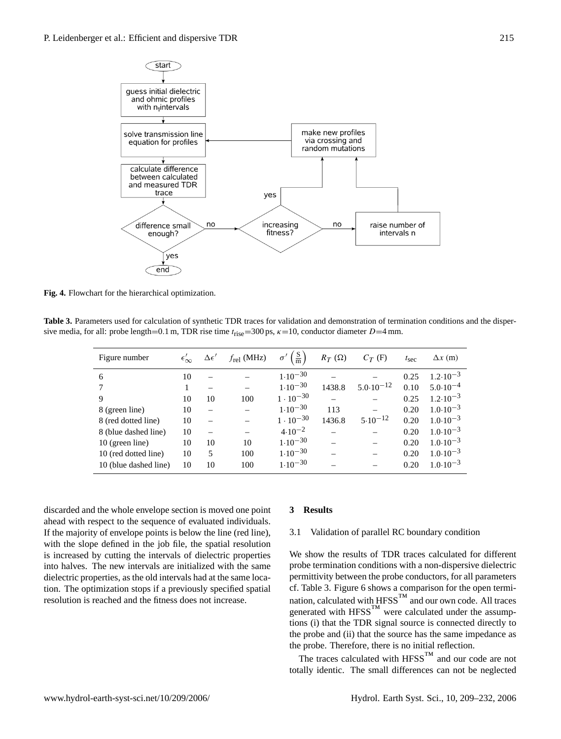

**Fig. 4.** Flowchart for the hierarchical optimization.

**Table 3.** Parameters used for calculation of synthetic TDR traces for validation and demonstration of termination conditions and the dispersive media, for all: probe length=0.1 m, TDR rise time  $t_{rise} = 300$  ps,  $\kappa = 10$ , conductor diameter  $D=4$  mm.

| Figure number         | $\epsilon_\infty'$ | $\Delta \epsilon'$ | $f_{rel}$ (MHz) | $\frac{\text{S}}{\text{m}}$ | $R_T(\Omega)$ | $C_T$ (F)            | $t_{\rm sec}$ | $\Delta x$ (m)      |
|-----------------------|--------------------|--------------------|-----------------|-----------------------------|---------------|----------------------|---------------|---------------------|
| 6                     | 10                 |                    |                 | $1.10^{-30}$                |               |                      | 0.25          | $1.2 \cdot 10^{-3}$ |
|                       | 1                  |                    |                 | $1.10^{-30}$                | 1438.8        | $5.0 \cdot 10^{-12}$ | 0.10          | $5.0 \cdot 10^{-4}$ |
| 9                     | 10                 | 10                 | 100             | $1 \cdot 10^{-30}$          |               |                      | 0.25          | $1.2 \cdot 10^{-3}$ |
| 8 (green line)        | 10                 |                    |                 | $1.10^{-30}$                | 113           |                      | 0.20          | $1.0 \cdot 10^{-3}$ |
| 8 (red dotted line)   | 10                 |                    |                 | $1 \cdot 10^{-30}$          | 1436.8        | $5.10^{-12}$         | 0.20          | $1.0 \cdot 10^{-3}$ |
| 8 (blue dashed line)  | 10                 |                    |                 | $4.10^{-2}$                 |               |                      | 0.20          | $1.0 \cdot 10^{-3}$ |
| 10 (green line)       | 10                 | 10                 | 10              | $1.10^{-30}$                |               |                      | 0.20          | $1.0 \cdot 10^{-3}$ |
| 10 (red dotted line)  | 10                 | 5                  | 100             | $1.10^{-30}$                |               |                      | 0.20          | $1.0 \cdot 10^{-3}$ |
| 10 (blue dashed line) | 10                 | 10                 | 100             | $1.10^{-30}$                |               |                      | 0.20          | $1.0 \cdot 10^{-3}$ |

discarded and the whole envelope section is moved one point ahead with respect to the sequence of evaluated individuals. If the majority of envelope points is below the line (red line), with the slope defined in the job file, the spatial resolution is increased by cutting the intervals of dielectric properties into halves. The new intervals are initialized with the same dielectric properties, as the old intervals had at the same location. The optimization stops if a previously specified spatial resolution is reached and the fitness does not increase.

#### **3 Results**

#### 3.1 Validation of parallel RC boundary condition

We show the results of TDR traces calculated for different probe termination conditions with a non-dispersive dielectric permittivity between the probe conductors, for all parameters cf. Table 3. Figure 6 shows a comparison for the open termination, calculated with  $HFSS^{TM}$  and our own code. All traces generated with  $HFSS^{TM}$  were calculated under the assumptions (i) that the TDR signal source is connected directly to the probe and (ii) that the source has the same impedance as the probe. Therefore, there is no initial reflection.

The traces calculated with  $HFSS^{TM}$  and our code are not totally identic. The small differences can not be neglected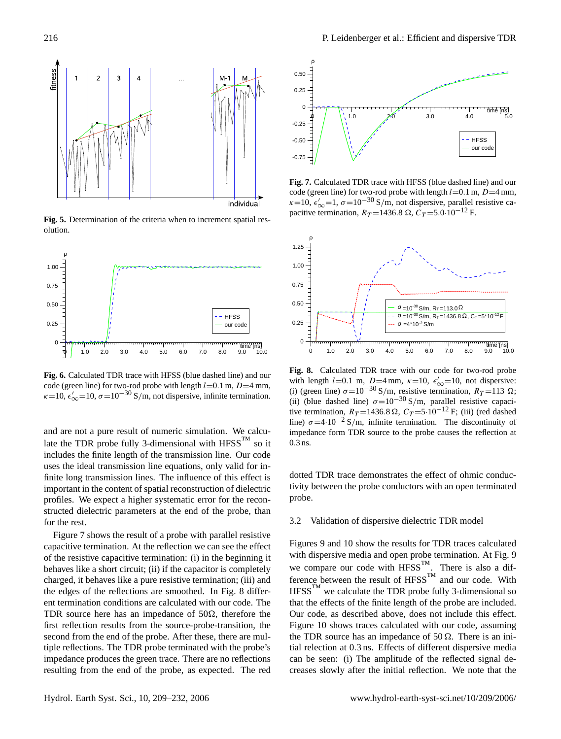

**Fig. 5.** Determination of the criteria when to increment spatial resolution.



**Fig. 6.** Calculated TDR trace with HFSS (blue dashed line) and our code (green line) for two-rod probe with length  $l=0.1$  m,  $D=4$  mm,  $\kappa$ =10,  $\epsilon'_{\infty}$ =10,  $\sigma$ =10<sup>-30</sup> S/m, not dispersive, infinite termination.

and are not a pure result of numeric simulation. We calculate the TDR probe fully 3-dimensional with  $HFSS^{TM}$  so it includes the finite length of the transmission line. Our code uses the ideal transmission line equations, only valid for infinite long transmission lines. The influence of this effect is important in the content of spatial reconstruction of dielectric profiles. We expect a higher systematic error for the reconstructed dielectric parameters at the end of the probe, than for the rest.

Figure 7 shows the result of a probe with parallel resistive capacitive termination. At the reflection we can see the effect of the resistive capacitive termination: (i) in the beginning it behaves like a short circuit; (ii) if the capacitor is completely charged, it behaves like a pure resistive termination; (iii) and the edges of the reflections are smoothed. In Fig. 8 different termination conditions are calculated with our code. The TDR source here has an impedance of  $50\Omega$ , therefore the first reflection results from the source-probe-transition, the second from the end of the probe. After these, there are multiple reflections. The TDR probe terminated with the probe's impedance produces the green trace. There are no reflections resulting from the end of the probe, as expected. The red



**Fig. 7.** Calculated TDR trace with HFSS (blue dashed line) and our code (green line) for two-rod probe with length  $l=0.1$  m,  $D=4$  mm,  $\kappa$ =10,  $\epsilon'_{\infty}$ =1,  $\sigma$ =10<sup>-30</sup> S/m, not dispersive, parallel resistive capacitive termination,  $R_T = 1436.8 \Omega$ ,  $C_T = 5.0 \cdot 10^{-12}$  F.



**Fig. 8.** Calculated TDR trace with our code for two-rod probe with length l=0.1 m,  $D=4$  mm,  $\kappa=10$ ,  $\epsilon'_{\infty}=10$ , not dispersive: (i) (green line)  $\sigma = 10^{-30}$  S/m, resistive termination,  $R_T = 113 \Omega$ ; (ii) (blue dashed line)  $\sigma$ =10<sup>-30</sup> S/m, parallel resistive capacitive termination,  $R_T = 1436.8 \Omega$ ,  $C_T = 5.10^{-12}$  F; (iii) (red dashed line)  $\sigma$ =4·10<sup>-2</sup> S/m, infinite termination. The discontinuity of impedance form TDR source to the probe causes the reflection at 0.3 ns.

dotted TDR trace demonstrates the effect of ohmic conductivity between the probe conductors with an open terminated probe.

## 3.2 Validation of dispersive dielectric TDR model

Figures 9 and 10 show the results for TDR traces calculated with dispersive media and open probe termination. At Fig. 9 we compare our code with  $HFSS^{TM}$ . There is also a difference between the result of  $HFSS<sup>TM</sup>$  and our code. With  $HFSS<sup>TM</sup>$  we calculate the TDR probe fully 3-dimensional so that the effects of the finite length of the probe are included. Our code, as described above, does not include this effect. Figure 10 shows traces calculated with our code, assuming the TDR source has an impedance of 50  $\Omega$ . There is an initial relection at 0.3 ns. Effects of different dispersive media can be seen: (i) The amplitude of the reflected signal decreases slowly after the initial reflection. We note that the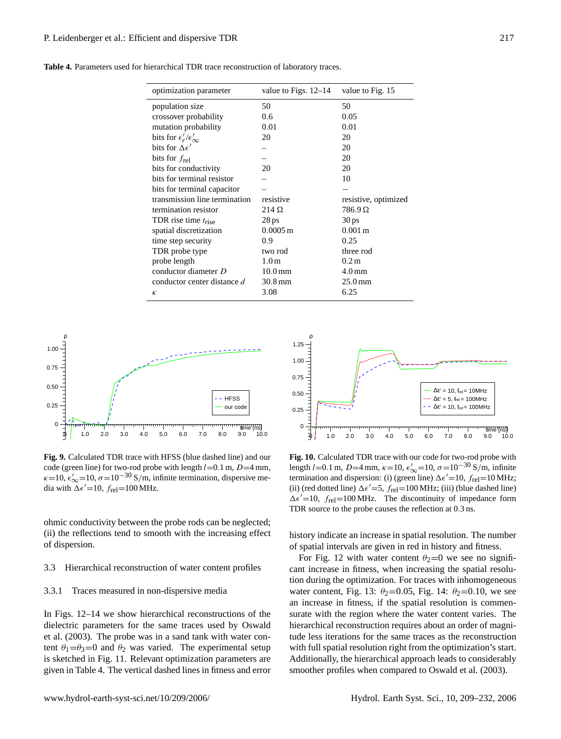| optimization parameter                  | value to Figs. $12-14$ | value to Fig. 15     |  |  |
|-----------------------------------------|------------------------|----------------------|--|--|
| population size                         | 50                     | 50                   |  |  |
| crossover probability                   | 0.6                    | 0.05                 |  |  |
| mutation probability                    | 0.01                   | 0.01                 |  |  |
| bits for $\epsilon'_r/\epsilon'_\infty$ | 20                     | 20                   |  |  |
| bits for $\Delta \epsilon'$             |                        | 20                   |  |  |
| bits for $f_{rel}$                      |                        | 20                   |  |  |
| bits for conductivity                   | 20                     | 20                   |  |  |
| bits for terminal resistor              |                        | 10                   |  |  |
| bits for terminal capacitor             |                        |                      |  |  |
| transmission line termination           | resistive              | resistive, optimized |  |  |
| termination resistor                    | $214 \Omega$           | $786.9 \Omega$       |  |  |
| TDR rise time $t_{\rm rise}$            | 28 <sub>ps</sub>       | 30 <sub>ps</sub>     |  |  |
| spatial discretization                  | $0.0005 \,\mathrm{m}$  | $0.001 \,\mathrm{m}$ |  |  |

**Table 4.** Parameters used for hierarchical TDR trace reconstruction of laboratory traces.

spatial discretization

time step security 0.9 0.25 TDR probe type two rod three rod probe length  $1.0 \text{ m}$   $0.2 \text{ m}$ conductor diameter D 10.0 mm 4.0 mm conductor center distance  $d = 30.8$  mm 25.0 mm  $\kappa$  3.08 6.25

> 1.25 ρ



**Fig. 9.** Calculated TDR trace with HFSS (blue dashed line) and our code (green line) for two-rod probe with length  $l=0.1$  m,  $D=4$  mm,  $\kappa$ =10,  $\epsilon'_{\infty}$ =10,  $\sigma$ =10<sup>-30</sup> S/m, infinite termination, dispersive media with  $\Delta \epsilon' = 10$ ,  $f_{\text{rel}} = 100 \text{ MHz}$ .

ohmic conductivity between the probe rods can be neglected; (ii) the reflections tend to smooth with the increasing effect of dispersion.

#### 3.3 Hierarchical reconstruction of water content profiles

#### 3.3.1 Traces measured in non-dispersive media

In Figs. 12–14 we show hierarchical reconstructions of the dielectric parameters for the same traces used by Oswald et al. (2003). The probe was in a sand tank with water content  $\theta_1 = \theta_3 = 0$  and  $\theta_2$  was varied. The experimental setup is sketched in Fig. 11. Relevant optimization parameters are given in Table 4. The vertical dashed lines in fitness and error

 $\phi$  1.0 2.0 3.0 4.0 5.0 6.0 7.0 8.0 9.0 10.0  $\mathsf{C}$ 0.25 0.50 0.75 1.00 time [ns]  $Δε' = 10$ , f<sub>rel</sub> = 10MHz  $Δε' = 5$ , f<sub>rel</sub> = 100MHz  $Δε' = 10$ ,  $f_{rel} = 100MHz$ 

**Fig. 10.** Calculated TDR trace with our code for two-rod probe with length l=0.1 m, D=4 mm,  $\kappa$ =10,  $\epsilon'_{\infty}$ =10,  $\sigma$ =10<sup>-30</sup> S/m, infinite termination and dispersion: (i) (green line)  $\Delta \epsilon' = 10$ ,  $f_{rel} = 10$  MHz; (ii) (red dotted line)  $\Delta \epsilon' = 5$ ,  $f_{\text{rel}} = 100 \text{ MHz}$ ; (iii) (blue dashed line)  $\Delta \epsilon' = 10$ ,  $f_{\text{rel}} = 100 \text{ MHz}$ . The discontinuity of impedance form TDR source to the probe causes the reflection at 0.3 ns.

history indicate an increase in spatial resolution. The number of spatial intervals are given in red in history and fitness.

For Fig. 12 with water content  $\theta_2=0$  we see no significant increase in fitness, when increasing the spatial resolution during the optimization. For traces with inhomogeneous water content, Fig. 13:  $\theta_2 = 0.05$ , Fig. 14:  $\theta_2 = 0.10$ , we see an increase in fitness, if the spatial resolution is commensurate with the region where the water content varies. The hierarchical reconstruction requires about an order of magnitude less iterations for the same traces as the reconstruction with full spatial resolution right from the optimization's start. Additionally, the hierarchical approach leads to considerably smoother profiles when compared to Oswald et al. (2003).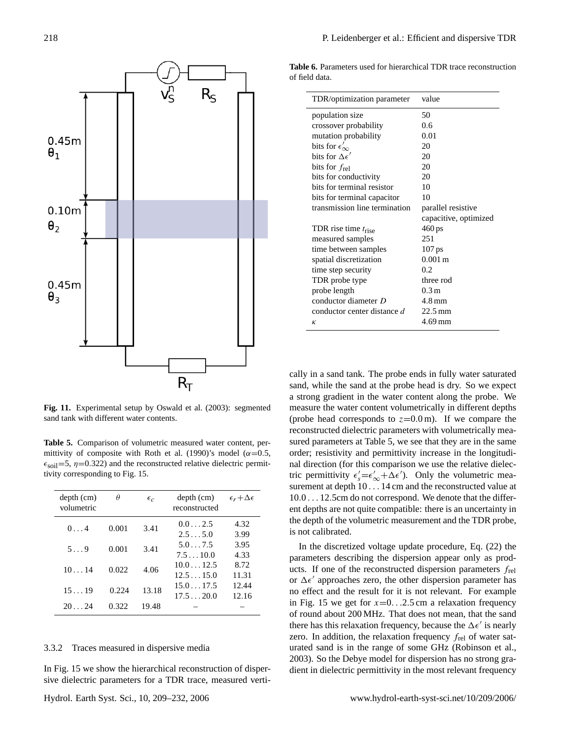

**Fig. 11.** Experimental setup by Oswald et al. (2003): segmented sand tank with different water contents.

**Table 5.** Comparison of volumetric measured water content, permittivity of composite with Roth et al. (1990)'s model ( $\alpha$ =0.5,  $\epsilon_{\text{solid}}$ =5,  $\eta$ =0.322) and the reconstructed relative dielectric permittivity corresponding to Fig. 15.

| $depth$ (cm)<br>volumetric | $\theta$ | $\epsilon_{c}$ | $depth$ (cm)<br>reconstructed | $\epsilon_r + \Delta \epsilon$ |
|----------------------------|----------|----------------|-------------------------------|--------------------------------|
| 0.14                       | 0.001    | 3.41           | 0.02.5<br>2.55.0              | 4.32<br>3.99                   |
| $5 \ldots 9$               | 0.001    | 3.41           | 5.07.5<br>7.510.0             | 3.95<br>4.33                   |
| 1014                       | 0.022    | 4.06           | $10.0 = 12.5$<br>12.515.0     | 8.72<br>11.31                  |
| 1519                       | 0.224    | 13.18          | 15.017.5<br>17.520.0          | 12.44<br>12.16                 |
| 2024                       | 0.322    | 19.48          |                               |                                |

## 3.3.2 Traces measured in dispersive media

In Fig. 15 we show the hierarchical reconstruction of dispersive dielectric parameters for a TDR trace, measured verti-

**Table 6.** Parameters used for hierarchical TDR trace reconstruction of field data.

| TDR/optimization parameter    | value                 |
|-------------------------------|-----------------------|
| population size               | 50                    |
| crossover probability         | 0.6                   |
| mutation probability          | 0.01                  |
| bits for $\epsilon'_{\infty}$ | 20                    |
| bits for $\Delta \epsilon'$   | 20                    |
| bits for $f_{rel}$            | 20                    |
| bits for conductivity         | 20                    |
| hits for terminal resistor    | 10                    |
| bits for terminal capacitor   | 10                    |
| transmission line termination | parallel resistive    |
|                               | capacitive, optimized |
| TDR rise time $t_{\rm rise}$  | 460 ps                |
| measured samples              | 251                   |
| time between samples          | 107 ps                |
| spatial discretization        | $0.001 \text{ m}$     |
| time step security            | 0.2                   |
| TDR probe type                | three rod             |
| probe length                  | 0.3 <sub>m</sub>      |
| conductor diameter $D$        | 4.8 mm                |
| conductor center distance d   | $22.5 \,\mathrm{mm}$  |
| $\kappa$                      | $4.69$ mm             |

cally in a sand tank. The probe ends in fully water saturated sand, while the sand at the probe head is dry. So we expect a strong gradient in the water content along the probe. We measure the water content volumetrically in different depths (probe head corresponds to  $z=0.0$  m). If we compare the reconstructed dielectric parameters with volumetrically measured parameters at Table 5, we see that they are in the same order; resistivity and permittivity increase in the longitudinal direction (for this comparison we use the relative dielectric permittivity  $\epsilon'_{s} = \epsilon'_{\infty} + \Delta \epsilon'$ ). Only the volumetric measurement at depth  $10...14$  cm and the reconstructed value at 10.0 . . . 12.5cm do not correspond. We denote that the different depths are not quite compatible: there is an uncertainty in the depth of the volumetric measurement and the TDR probe, is not calibrated.

In the discretized voltage update procedure, Eq. (22) the parameters describing the dispersion appear only as products. If one of the reconstructed dispersion parameters  $f_{rel}$ or  $\Delta \epsilon'$  approaches zero, the other dispersion parameter has no effect and the result for it is not relevant. For example in Fig. 15 we get for  $x=0$ . . 2.5 cm a relaxation frequency of round about 200 MHz. That does not mean, that the sand there has this relaxation frequency, because the  $\Delta \epsilon'$  is nearly zero. In addition, the relaxation frequency  $f_{rel}$  of water saturated sand is in the range of some GHz (Robinson et al., 2003). So the Debye model for dispersion has no strong gradient in dielectric permittivity in the most relevant frequency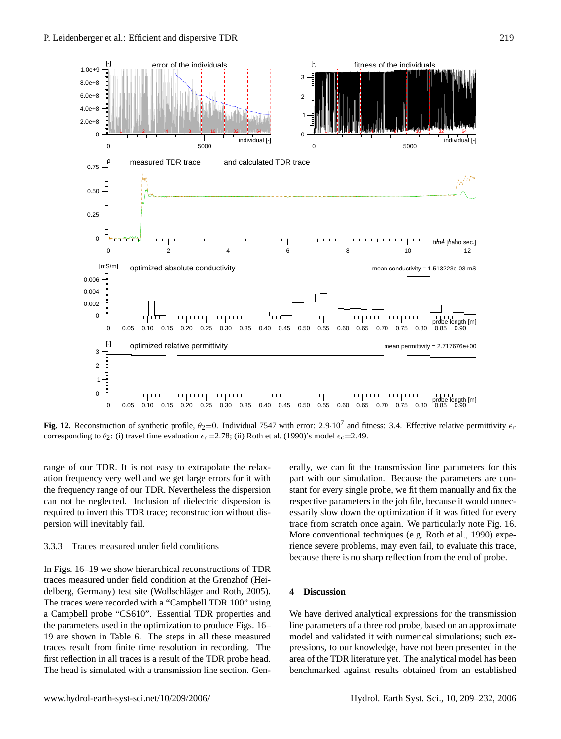

**Fig. 12.** Reconstruction of synthetic profile,  $\theta_2=0$ . Individual 7547 with error: 2.9.10<sup>7</sup> and fitness: 3.4. Effective relative permittivity  $\epsilon_c$ corresponding to  $\theta_2$ : (i) travel time evaluation  $\epsilon_1 = 2.78$ ; (ii) Roth et al. (1990)'s model  $\epsilon_1 = 2.49$ .

range of our TDR. It is not easy to extrapolate the relaxation frequency very well and we get large errors for it with the frequency range of our TDR. Nevertheless the dispersion can not be neglected. Inclusion of dielectric dispersion is required to invert this TDR trace; reconstruction without dispersion will inevitably fail.

## 3.3.3 Traces measured under field conditions

In Figs. 16–19 we show hierarchical reconstructions of TDR traces measured under field condition at the Grenzhof (Heidelberg, Germany) test site (Wollschläger and Roth, 2005). The traces were recorded with a "Campbell TDR 100" using a Campbell probe "CS610". Essential TDR properties and the parameters used in the optimization to produce Figs. 16– 19 are shown in Table 6. The steps in all these measured traces result from finite time resolution in recording. The first reflection in all traces is a result of the TDR probe head. The head is simulated with a transmission line section. Gen-

erally, we can fit the transmission line parameters for this part with our simulation. Because the parameters are constant for every single probe, we fit them manually and fix the respective parameters in the job file, because it would unnecessarily slow down the optimization if it was fitted for every trace from scratch once again. We particularly note Fig. 16. More conventional techniques (e.g. Roth et al., 1990) experience severe problems, may even fail, to evaluate this trace, because there is no sharp reflection from the end of probe.

## **4 Discussion**

We have derived analytical expressions for the transmission line parameters of a three rod probe, based on an approximate model and validated it with numerical simulations; such expressions, to our knowledge, have not been presented in the area of the TDR literature yet. The analytical model has been benchmarked against results obtained from an established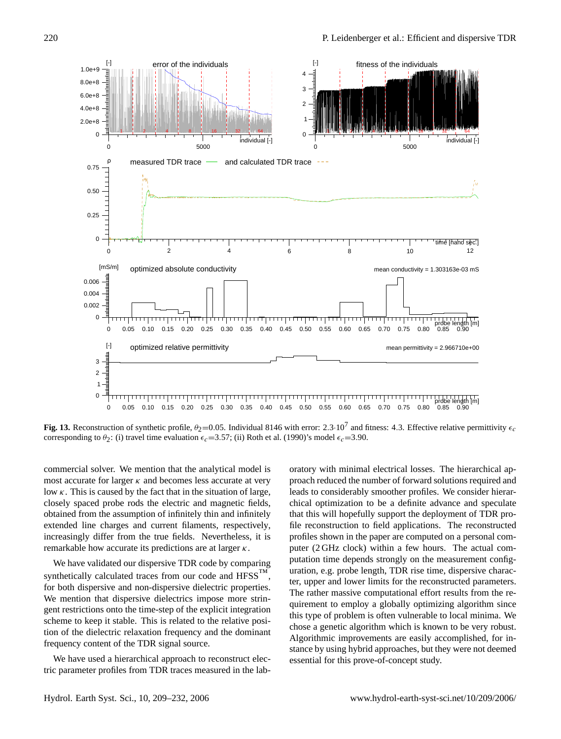

**Fig. 13.** Reconstruction of synthetic profile,  $\theta_2$ =0.05. Individual 8146 with error: 2.3·10<sup>7</sup> and fitness: 4.3. Effective relative permittivity  $\epsilon_c$ corresponding to  $\theta_2$ : (i) travel time evaluation  $\epsilon_c$  =3.57; (ii) Roth et al. (1990)'s model  $\epsilon_c$  =3.90.

commercial solver. We mention that the analytical model is most accurate for larger  $\kappa$  and becomes less accurate at very low  $\kappa$ . This is caused by the fact that in the situation of large, closely spaced probe rods the electric and magnetic fields, obtained from the assumption of infinitely thin and infinitely extended line charges and current filaments, respectively, increasingly differ from the true fields. Nevertheless, it is remarkable how accurate its predictions are at larger  $\kappa$ .

We have validated our dispersive TDR code by comparing synthetically calculated traces from our code and  $HFSS<sup>TM</sup>$ . for both dispersive and non-dispersive dielectric properties. We mention that dispersive dielectrics impose more stringent restrictions onto the time-step of the explicit integration scheme to keep it stable. This is related to the relative position of the dielectric relaxation frequency and the dominant frequency content of the TDR signal source.

We have used a hierarchical approach to reconstruct electric parameter profiles from TDR traces measured in the laboratory with minimal electrical losses. The hierarchical approach reduced the number of forward solutions required and leads to considerably smoother profiles. We consider hierarchical optimization to be a definite advance and speculate that this will hopefully support the deployment of TDR profile reconstruction to field applications. The reconstructed profiles shown in the paper are computed on a personal computer (2 GHz clock) within a few hours. The actual computation time depends strongly on the measurement configuration, e.g. probe length, TDR rise time, dispersive character, upper and lower limits for the reconstructed parameters. The rather massive computational effort results from the requirement to employ a globally optimizing algorithm since this type of problem is often vulnerable to local minima. We chose a genetic algorithm which is known to be very robust. Algorithmic improvements are easily accomplished, for instance by using hybrid approaches, but they were not deemed essential for this prove-of-concept study.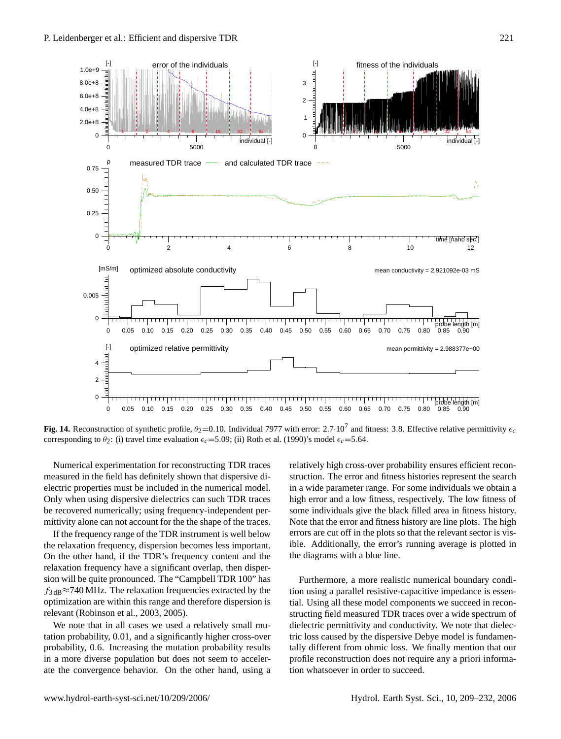

**Fig. 14.** Reconstruction of synthetic profile,  $\theta_2$ =0.10. Individual 7977 with error: 2.7 $\cdot$ 10<sup>7</sup> and fitness: 3.8. Effective relative permittivity  $\epsilon_c$ corresponding to  $\theta_2$ : (i) travel time evaluation  $\epsilon_c$ =5.09; (ii) Roth et al. (1990)'s model  $\epsilon_c$ =5.64.

Numerical experimentation for reconstructing TDR traces measured in the field has definitely shown that dispersive dielectric properties must be included in the numerical model. Only when using dispersive dielectrics can such TDR traces be recovered numerically; using frequency-independent permittivity alone can not account for the the shape of the traces.

If the frequency range of the TDR instrument is well below the relaxation frequency, dispersion becomes less important. On the other hand, if the TDR's frequency content and the relaxation frequency have a significant overlap, then dispersion will be quite pronounced. The "Campbell TDR 100" has  $f_{3 dB} \approx 740 \text{ MHz}$ . The relaxation frequencies extracted by the optimization are within this range and therefore dispersion is relevant (Robinson et al., 2003, 2005).

We note that in all cases we used a relatively small mutation probability, 0.01, and a significantly higher cross-over probability, 0.6. Increasing the mutation probability results in a more diverse population but does not seem to accelerate the convergence behavior. On the other hand, using a relatively high cross-over probability ensures efficient reconstruction. The error and fitness histories represent the search in a wide parameter range. For some individuals we obtain a high error and a low fitness, respectively. The low fitness of some individuals give the black filled area in fitness history. Note that the error and fitness history are line plots. The high errors are cut off in the plots so that the relevant sector is visible. Additionally, the error's running average is plotted in the diagrams with a blue line.

Furthermore, a more realistic numerical boundary condition using a parallel resistive-capacitive impedance is essential. Using all these model components we succeed in reconstructing field measured TDR traces over a wide spectrum of dielectric permittivity and conductivity. We note that dielectric loss caused by the dispersive Debye model is fundamentally different from ohmic loss. We finally mention that our profile reconstruction does not require any a priori information whatsoever in order to succeed.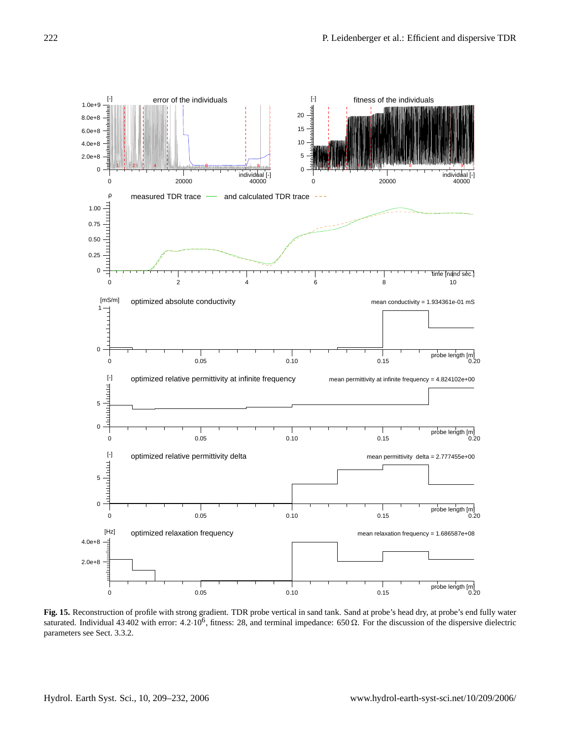

**Fig. 15.** Reconstruction of profile with strong gradient. TDR probe vertical in sand tank. Sand at probe's head dry, at probe's end fully water saturated. Individual 43 402 with error: 4.2 $\cdot 10^6$ , fitness: 28, and terminal impedance: 650  $\Omega$ . For the discussion of the dispersive dielectric parameters see Sect. 3.3.2.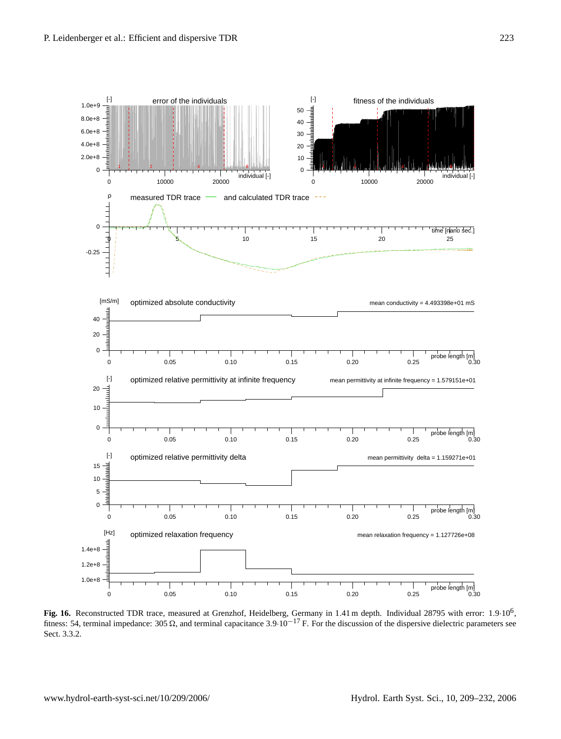

Fig. 16. Reconstructed TDR trace, measured at Grenzhof, Heidelberg, Germany in 1.41 m depth. Individual 28795 with error: 1.9·10<sup>6</sup>, fitness: 54, terminal impedance: 305  $\Omega$ , and terminal capacitance 3.9·10<sup>-17</sup> F. For the discussion of the dispersive dielectric parameters see Sect. 3.3.2.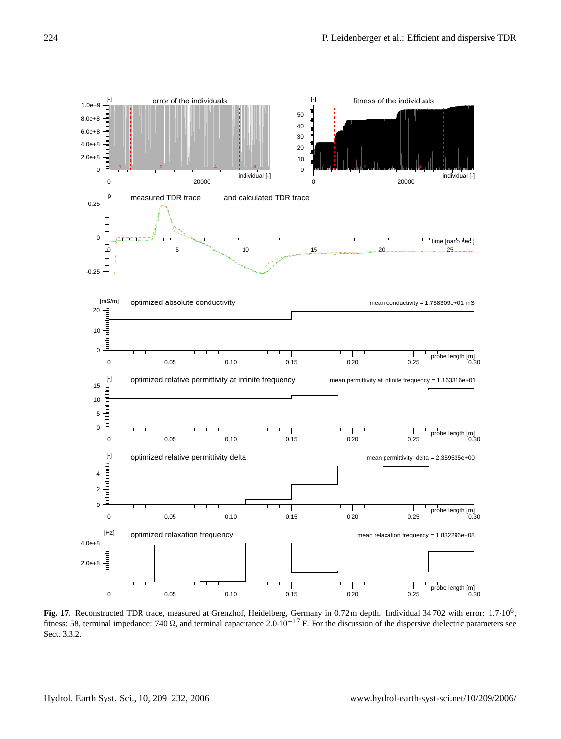

Fig. 17. Reconstructed TDR trace, measured at Grenzhof, Heidelberg, Germany in 0.72 m depth. Individual 34 702 with error: 1.7·10<sup>6</sup>, fitness: 58, terminal impedance: 740  $\Omega$ , and terminal capacitance 2.0·10<sup>-17</sup> F. For the discussion of the dispersive dielectric parameters see Sect. 3.3.2.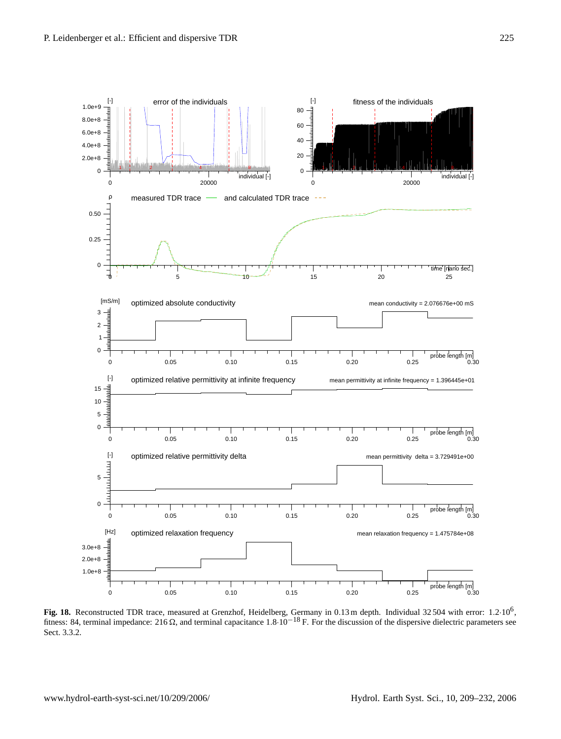

Fig. 18. Reconstructed TDR trace, measured at Grenzhof, Heidelberg, Germany in 0.13 m depth. Individual 32504 with error: 1.2·10<sup>6</sup>, fitness: 84, terminal impedance: 216  $\Omega$ , and terminal capacitance 1.8·10<sup>-18</sup> F. For the discussion of the dispersive dielectric parameters see Sect. 3.3.2.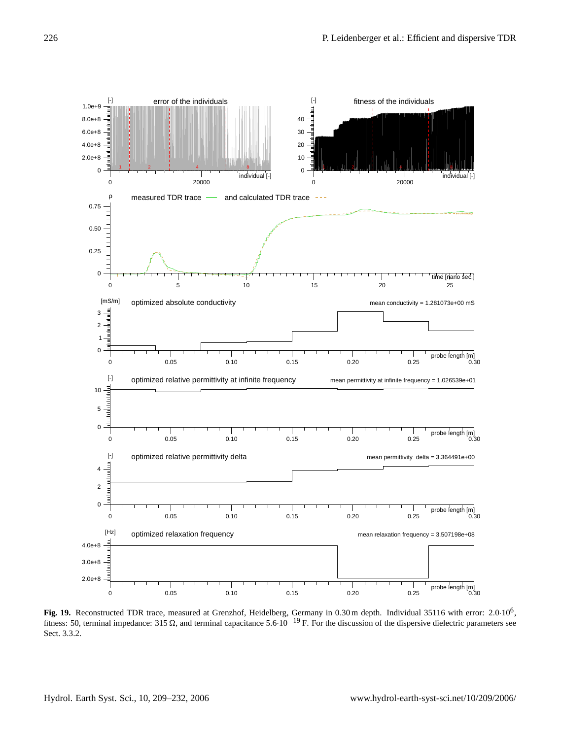

Fig. 19. Reconstructed TDR trace, measured at Grenzhof, Heidelberg, Germany in 0.30 m depth. Individual 35116 with error: 2.0·10<sup>6</sup>, fitness: 50, terminal impedance: 315  $\Omega$ , and terminal capacitance 5.6·10<sup>-19</sup> F. For the discussion of the dispersive dielectric parameters see Sect. 3.3.2.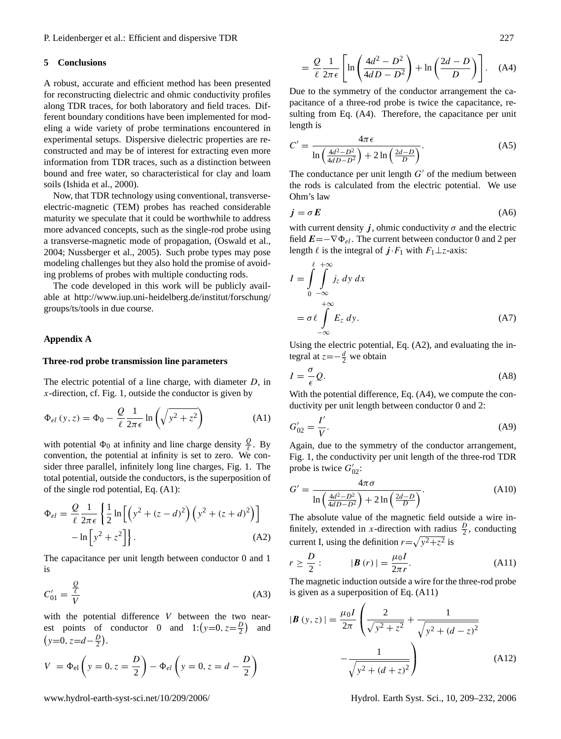#### **5 Conclusions**

A robust, accurate and efficient method has been presented for reconstructing dielectric and ohmic conductivity profiles along TDR traces, for both laboratory and field traces. Different boundary conditions have been implemented for modeling a wide variety of probe terminations encountered in experimental setups. Dispersive dielectric properties are reconstructed and may be of interest for extracting even more information from TDR traces, such as a distinction between bound and free water, so characteristical for clay and loam soils (Ishida et al., 2000).

Now, that TDR technology using conventional, transverseelectric-magnetic (TEM) probes has reached considerable maturity we speculate that it could be worthwhile to address more advanced concepts, such as the single-rod probe using a transverse-magnetic mode of propagation, (Oswald et al., 2004; Nussberger et al., 2005). Such probe types may pose modeling challenges but they also hold the promise of avoiding problems of probes with multiple conducting rods.

The code developed in this work will be publicly available at http://www.iup.uni-heidelberg.de/institut/forschung/ groups/ts/tools in due course.

#### **Appendix A**

#### **Three-rod probe transmission line parameters**

The electric potential of a line charge, with diameter D, in  $x$ -direction, cf. Fig. 1, outside the conductor is given by

$$
\Phi_{el}(y, z) = \Phi_0 - \frac{Q}{\ell} \frac{1}{2\pi\epsilon} \ln\left(\sqrt{y^2 + z^2}\right)
$$
 (A1)

with potential  $\Phi_0$  at infinity and line charge density  $\frac{Q}{\ell}$ . By convention, the potential at infinity is set to zero. We consider three parallel, infinitely long line charges, Fig. 1. The total potential, outside the conductors, is the superposition of of the single rod potential, Eq. (A1):

$$
\Phi_{el} = \frac{Q}{\ell} \frac{1}{2\pi\epsilon} \left\{ \frac{1}{2} \ln \left[ \left( y^2 + (z - d)^2 \right) \left( y^2 + (z + d)^2 \right) \right] - \ln \left[ y^2 + z^2 \right] \right\}.
$$
\n(A2)

The capacitance per unit length between conductor 0 and 1 is

$$
C'_{01} = \frac{\frac{Q}{\ell}}{V} \tag{A3}
$$

with the potential difference V between the two nearest points of conductor 0 and  $1:(y=0, z=\frac{D}{2})$  and  $(y=0, z=d-\frac{D}{2}).$ 

$$
V = \Phi_{el} \left( y = 0, z = \frac{D}{2} \right) - \Phi_{el} \left( y = 0, z = d - \frac{D}{2} \right)
$$

$$
= \frac{Q}{\ell} \frac{1}{2\pi\epsilon} \left[ \ln \left( \frac{4d^2 - D^2}{4dD - D^2} \right) + \ln \left( \frac{2d - D}{D} \right) \right]. \quad (A4)
$$

Due to the symmetry of the conductor arrangement the capacitance of a three-rod probe is twice the capacitance, resulting from Eq. (A4). Therefore, the capacitance per unit length is

$$
C' = \frac{4\pi\epsilon}{\ln\left(\frac{4d^2 - D^2}{4dD - D^2}\right) + 2\ln\left(\frac{2d - D}{D}\right)}.\tag{A5}
$$

The conductance per unit length  $G'$  of the medium between the rods is calculated from the electric potential. We use Ohm's law

$$
j = \sigma E \tag{A6}
$$

with current density j, ohmic conductivity  $\sigma$  and the electric field  $E=-\nabla \Phi_{el}$ . The current between conductor 0 and 2 per length  $\ell$  is the integral of  $j \cdot F_1$  with  $F_1 \perp z$ -axis:

$$
I = \int_{0}^{\ell} \int_{-\infty}^{+\infty} j_z \, dy \, dx
$$
  
=  $\sigma \ell \int_{-\infty}^{+\infty} E_z \, dy.$  (A7)

Using the electric potential, Eq. (A2), and evaluating the integral at  $z=-\frac{d}{2}$  we obtain

$$
I = -\frac{\sigma}{\epsilon} Q. \tag{A8}
$$

With the potential difference, Eq. (A4), we compute the conductivity per unit length between conductor 0 and 2:

$$
G'_{02} = \frac{I'}{V}.
$$
 (A9)

Again, due to the symmetry of the conductor arrangement, Fig. 1, the conductivity per unit length of the three-rod TDR probe is twice  $G'_{02}$ :

$$
G' = \frac{4\pi\sigma}{\ln\left(\frac{4d^2 - D^2}{4dD - D^2}\right) + 2\ln\left(\frac{2d - D}{D}\right)}.
$$
\n(A10)

The absolute value of the magnetic field outside a wire infinitely, extended in x-direction with radius  $\frac{D}{2}$ , conducting current I, using the definition  $r = \sqrt{y^2 + z^2}$  is

$$
r \geq \frac{D}{2}:\qquad \quad |\mathbf{B}(r)| = \frac{\mu_0 I}{2\pi r}.\tag{A11}
$$

The magnetic induction outside a wire for the three-rod probe is given as a superposition of Eq. (A11)

$$
|\boldsymbol{B}(y, z)| = \frac{\mu_0 I}{2\pi} \left( \frac{2}{\sqrt{y^2 + z^2}} + \frac{1}{\sqrt{y^2 + (d - z)^2}} - \frac{1}{\sqrt{y^2 + (d + z)^2}} \right)
$$
(A12)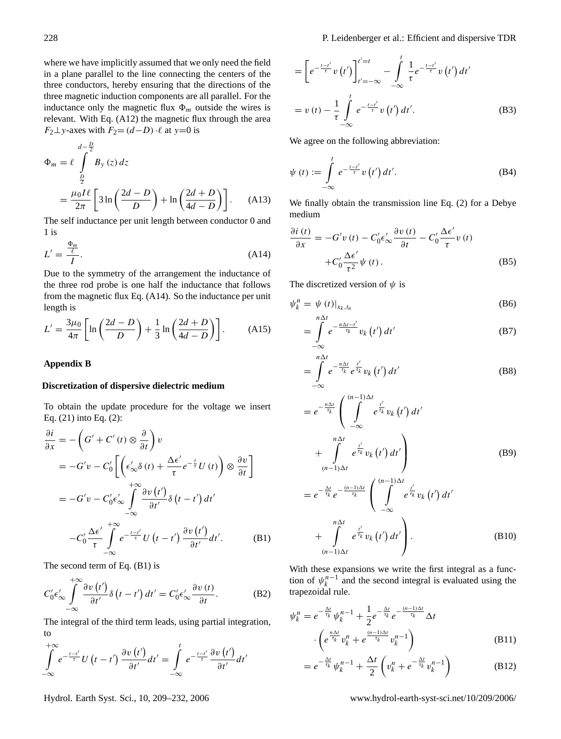D

where we have implicitly assumed that we only need the field in a plane parallel to the line connecting the centers of the three conductors, hereby ensuring that the directions of the three magnetic induction components are all parallel. For the inductance only the magnetic flux  $\Phi_m$  outside the wires is relevant. With Eq. (A12) the magnetic flux through the area  $F_2 \perp y$ -axes with  $F_2 = (d-D) \cdot \ell$  at y=0 is

$$
\Phi_m = \ell \int_{\frac{D}{2}}^{d-\frac{D}{2}} B_y(z) dz
$$
  
= 
$$
\frac{\mu_0 I \ell}{2\pi} \left[ 3 \ln \left( \frac{2d - D}{D} \right) + \ln \left( \frac{2d + D}{4d - D} \right) \right].
$$
 (A13)

The self inductance per unit length between conductor 0 and 1 is

$$
L' = \frac{\Phi_m}{I}.\tag{A14}
$$

Due to the symmetry of the arrangement the inductance of the three rod probe is one half the inductance that follows from the magnetic flux Eq. (A14). So the inductance per unit length is

$$
L' = \frac{3\mu_0}{4\pi} \left[ \ln \left( \frac{2d - D}{D} \right) + \frac{1}{3} \ln \left( \frac{2d + D}{4d - D} \right) \right].
$$
 (A15)

## **Appendix B**

#### **Discretization of dispersive dielectric medium**

To obtain the update procedure for the voltage we insert Eq. (21) into Eq. (2):

$$
\frac{\partial i}{\partial x} = -\left(G' + C'(t) \otimes \frac{\partial}{\partial t}\right)v
$$
  
\n
$$
= -G'v - C'_0 \left[\left(\epsilon'_{\infty} \delta(t) + \frac{\Delta \epsilon'}{\tau} e^{-\frac{t}{\tau}} U(t)\right) \otimes \frac{\partial v}{\partial t}\right]
$$
  
\n
$$
= -G'v - C'_0 \epsilon'_{\infty} \int_{-\infty}^{+\infty} \frac{\partial v(t')}{\partial t'} \delta(t - t') dt'
$$
  
\n
$$
-C'_0 \frac{\Delta \epsilon'}{\tau} \int_{-\infty}^{+\infty} e^{-\frac{t - t'}{\tau}} U(t - t') \frac{\partial v(t')}{\partial t'} dt'.
$$
 (B1)

The second term of Eq. (B1) is

+∞

$$
C_0'\epsilon_\infty'\int\limits_{-\infty}^{+\infty}\frac{\partial v\left(t'\right)}{\partial t'}\delta\left(t-t'\right)dt'=C_0'\epsilon_\infty'\frac{\partial v\left(t\right)}{\partial t}.\tag{B2}
$$

The integral of the third term leads, using partial integration, to

$$
\int_{-\infty}^{+\infty} e^{-\frac{t-t'}{\tau}} U(t-t') \frac{\partial v(t')}{\partial t'} dt' = \int_{-\infty}^{t} e^{-\frac{t-t'}{\tau}} \frac{\partial v(t')}{\partial t'} dt'
$$

$$
= \left[ e^{-\frac{t-t'}{\tau}} v(t') \right]_{t'=-\infty}^{t'=t} - \int_{-\infty}^{t} \frac{1}{\tau} e^{-\frac{t-t'}{\tau}} v(t') dt'
$$
  

$$
= v(t) - \frac{1}{\tau} \int_{-\infty}^{t} e^{-\frac{t-t'}{\tau}} v(t') dt'.
$$
 (B3)

We agree on the following abbreviation:

$$
\psi(t) := \int_{-\infty}^{t} e^{-\frac{t-t'}{\tau}} v(t') dt'.
$$
\n(B4)

We finally obtain the transmission line Eq. (2) for a Debye medium

$$
\frac{\partial i(t)}{\partial x} = -G'v(t) - C'_0 \epsilon'_{\infty} \frac{\partial v(t)}{\partial t} - C'_0 \frac{\Delta \epsilon'}{\tau} v(t) \n+ C'_0 \frac{\Delta \epsilon'}{\tau^2} \psi(t).
$$
\n(B5)

The discretized version of  $\psi$  is

$$
\psi_k^n = \psi(t)|_{x_k, t_n} \tag{B6}
$$

$$
=\int\limits_{-\infty}^{\infty}e^{-\frac{n\Delta t-t'}{\tau_k}}v_k\left(t'\right)dt'
$$
 (B7)

$$
=\int\limits_{-\infty}^{n\Delta t}e^{-\frac{n\Delta t}{\tau_k}}e^{\frac{t'}{\tau_k}}v_k\left(t'\right)dt'
$$
 (B8)

$$
= e^{-\frac{n\Delta t}{\tau_k}} \left( \int_{-\infty}^{(n-1)\Delta t} e^{\frac{t'}{\tau_k}} v_k(t') dt' + \int_{(n-1)\Delta t}^{n\Delta t} e^{\frac{t'}{\tau_k}} v_k(t') dt' \right)
$$
\n
$$
= e^{-\frac{\Delta t}{\tau_k}} e^{-\frac{(n-1)\Delta t}{\tau_k}} \left( \int_{-\infty}^{(n-1)\Delta t} e^{\frac{t'}{\tau_k}} v_k(t') dt' + \int_{(n-1)\Delta t}^{n\Delta t} e^{\frac{t'}{\tau_k}} v_k(t') dt' \right).
$$
\n(B10)

With these expansions we write the first integral as a function of  $\psi_k^{n-1}$  and the second integral is evaluated using the trapezoidal rule.

$$
\psi_k^n = e^{-\frac{\Delta t}{\tau_k}} \psi_k^{n-1} + \frac{1}{2} e^{-\frac{\Delta t}{\tau_k}} e^{-\frac{(n-1)\Delta t}{\tau_k}} \Delta t
$$

$$
\cdot \left( e^{\frac{n\Delta t}{\tau_k}} v_k^n + e^{\frac{(n-1)\Delta t}{\tau_k}} v_k^{n-1} \right)
$$
(B11)

$$
=e^{-\frac{\Delta t}{\tau_k}}\psi_k^{n-1}+\frac{\Delta t}{2}\left(v_k^n+e^{-\frac{\Delta t}{\tau_k}}v_k^{n-1}\right) \tag{B12}
$$

Hydrol. Earth Syst. Sci., 10, 209–232, 2006 www.hydrol-earth-syst-sci.net/10/209/2006/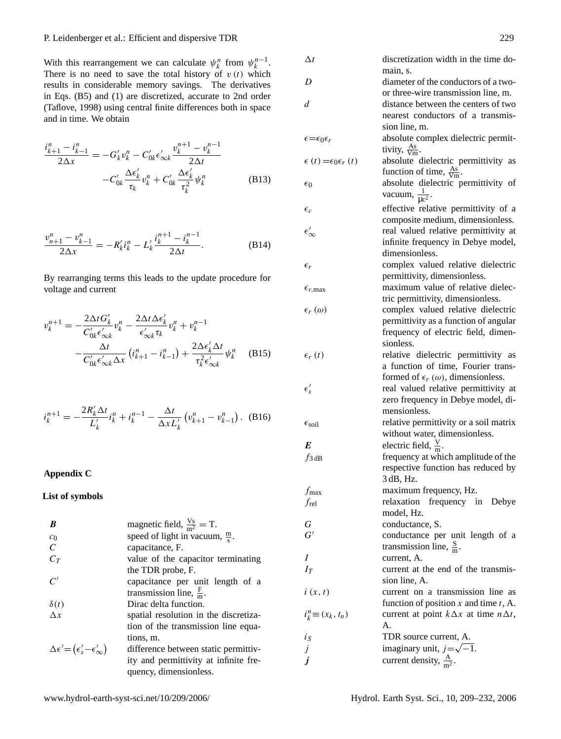P. Leidenberger et al.: Efficient and dispersive TDR 229

With this rearrangement we can calculate  $\psi_k^n$  from  $\psi_k^{n-1}$ . There is no need to save the total history of  $v(t)$  which results in considerable memory savings. The derivatives in Eqs. (B5) and (1) are discretized, accurate to 2nd order (Taflove, 1998) using central finite differences both in space and in time. We obtain

$$
\frac{i_{k+1}^n - i_{k-1}^n}{2\Delta x} = -G'_k v_k^n - C'_{0k} \epsilon'_{\infty k} \frac{v_k^{n+1} - v_k^{n-1}}{2\Delta t} -C'_{0k} \frac{\Delta \epsilon'_k}{\tau_k} v_k^n + C'_{0k} \frac{\Delta \epsilon'_k}{\tau_k^2} \psi_k^n
$$
(B13)

$$
\frac{v_{n+1}^n - v_{k-1}^n}{2\Delta x} = -R'_k i_k^n - L'_k \frac{i_k^{n+1} - i_k^{n-1}}{2\Delta t}.
$$
 (B14)

By rearranging terms this leads to the update procedure for voltage and current

$$
v_k^{n+1} = -\frac{2\Delta t G'_k}{C'_{0k}\epsilon'_{\infty k}} v_k^n - \frac{2\Delta t \Delta \epsilon'_k}{\epsilon'_{\infty k} \tau_k} v_k^n + v_k^{n-1}
$$

$$
-\frac{\Delta t}{C'_{0k}\epsilon'_{\infty k} \Delta x} (i_{k+1}^n - i_{k-1}^n) + \frac{2\Delta \epsilon'_k \Delta t}{\tau_k^2 \epsilon'_{\infty k}} \psi_k^n \quad (B15)
$$

$$
i_k^{n+1} = -\frac{2R'_k \Delta t}{L'_k} i_k^n + i_k^{n-1} - \frac{\Delta t}{\Delta x L'_k} \left( v_{k+1}^n - v_{k-1}^n \right). \tag{B16}
$$

# **Appendix C**

## **List of symbols**

| R                                                         | magnetic field, $\frac{V_s}{m^2} = T$ .   |
|-----------------------------------------------------------|-------------------------------------------|
| $c_0$                                                     | speed of light in vacuum, $\frac{m}{s}$ . |
| $\mathcal{C}$                                             | capacitance, F.                           |
| $C_T$                                                     | value of the capacitor terminating        |
|                                                           | the TDR probe, F.                         |
| $\mathcal{C}'$                                            | capacitance per unit length of a          |
|                                                           | transmission line, $\frac{F}{m}$ .        |
| $\delta(t)$                                               | Dirac delta function.                     |
| $\Lambda x$                                               | spatial resolution in the discretiza-     |
|                                                           | tion of the transmission line equa-       |
|                                                           | tions, m.                                 |
| $\Delta \epsilon' = (\epsilon'_{s} - \epsilon'_{\infty})$ | difference between static permittiv-      |
|                                                           | ity and permittivity at infinite fre-     |
|                                                           | quency, dimensionless.                    |

| $\Delta t$                               | discretization width in the time do-<br>main, s.                                                                              |
|------------------------------------------|-------------------------------------------------------------------------------------------------------------------------------|
| D                                        | diameter of the conductors of a two-<br>or three-wire transmission line, m.                                                   |
| d                                        | distance between the centers of two<br>nearest conductors of a transmis-<br>sion line, m.                                     |
| $\epsilon = \epsilon_0 \epsilon_r$       | absolute complex dielectric permit-<br>tivity, $\frac{\text{As}}{\text{Vm}}$ .                                                |
| $\epsilon(t) = \epsilon_0 \epsilon_r(t)$ | absolute dielectric permittivity as<br>function of time, $\frac{As}{Vm}$ .                                                    |
| $\epsilon_0$                             | absolute dielectric permittivity of<br>vacuum, $\frac{1}{\mu c^2}$ .                                                          |
| $\epsilon_c$                             | effective relative permittivity of a<br>composite medium, dimensionless.                                                      |
| $\epsilon_\infty'$                       | real valued relative permittivity at<br>infinite frequency in Debye model,                                                    |
| $\epsilon_r$                             | dimensionless.<br>complex valued relative dielectric                                                                          |
| $\epsilon_{r,\text{max}}$                | permittivity, dimensionless.<br>maximum value of relative dielec-<br>tric permittivity, dimensionless.                        |
| $\epsilon_r(\omega)$                     | complex valued relative dielectric<br>permittivity as a function of angular<br>frequency of electric field, dimen-            |
| $\epsilon_r(t)$                          | sionless.<br>relative dielectric permittivity as<br>a function of time, Fourier trans-                                        |
| $\epsilon'_{s}$                          | formed of $\epsilon_r(\omega)$ , dimensionless.<br>real valued relative permittivity at<br>zero frequency in Debye model, di- |
| $\epsilon_{\rm soil}$                    | mensionless.<br>relative permittivity or a soil matrix<br>without water, dimensionless.                                       |
| E                                        | electric field, $\frac{V}{m}$ .                                                                                               |
| $f_3$ dB                                 | frequency at which amplitude of the<br>respective function has reduced by<br>3 dB, Hz.                                        |
| $f_{\rm max}$                            | maximum frequency, Hz.                                                                                                        |
| $f_{rel}$                                | relaxation frequency in Debye<br>model, Hz.                                                                                   |
| $\cal G$                                 | conductance, S.                                                                                                               |
| $G^{\prime}$                             | conductance per unit length of a                                                                                              |
|                                          | transmission line, $\frac{S}{m}$ .                                                                                            |
| Ι                                        | current, A.                                                                                                                   |
| $I_T$                                    | current at the end of the transmis-                                                                                           |
| i(x, t)                                  | sion line, A.<br>current on a transmission line as<br>function of position $x$ and time $t$ , A.                              |
| $i_k^n \equiv (x_k, t_n)$                | current at point $k\Delta x$ at time $n\Delta t$ ,<br>A.                                                                      |
| $i_{S}$                                  | TDR source current, A.                                                                                                        |
|                                          | imaginary unit, $j = \sqrt{-1}$ .                                                                                             |
| $j$<br>$j$                               | current density, $\frac{A}{m^2}$ .                                                                                            |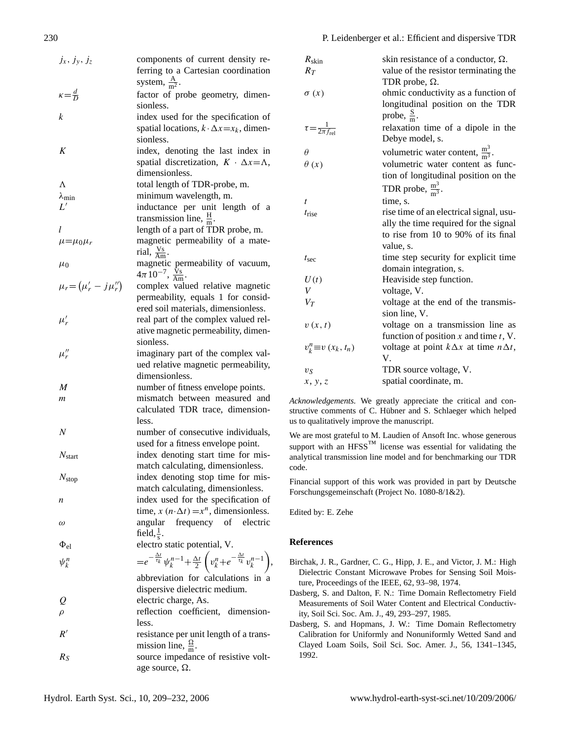| $j_x, j_y, j_z$               | components of current density re-                                                                                                                                                                                                                                     |
|-------------------------------|-----------------------------------------------------------------------------------------------------------------------------------------------------------------------------------------------------------------------------------------------------------------------|
|                               | ferring to a Cartesian coordination                                                                                                                                                                                                                                   |
|                               | system, $\frac{A}{m^2}$ .                                                                                                                                                                                                                                             |
| $\kappa = \frac{d}{D}$        | factor of probe geometry, dimen-                                                                                                                                                                                                                                      |
|                               | sionless.                                                                                                                                                                                                                                                             |
| k                             | index used for the specification of                                                                                                                                                                                                                                   |
|                               | spatial locations, $k \cdot \Delta x = x_k$ , dimen-                                                                                                                                                                                                                  |
|                               | sionless.                                                                                                                                                                                                                                                             |
| K                             | index, denoting the last index in                                                                                                                                                                                                                                     |
|                               | spatial discretization, $K \cdot \Delta x = \Lambda$ ,                                                                                                                                                                                                                |
|                               | dimensionless.                                                                                                                                                                                                                                                        |
| Λ                             | total length of TDR-probe, m.                                                                                                                                                                                                                                         |
| $\lambda_{\rm min}$           | minimum wavelength, m.                                                                                                                                                                                                                                                |
| L'                            | inductance per unit length of a                                                                                                                                                                                                                                       |
|                               | transmission line, $\frac{H}{m}$ .                                                                                                                                                                                                                                    |
| l                             | length of a part of TDR probe, m.                                                                                                                                                                                                                                     |
|                               | magnetic permeability of a mate-                                                                                                                                                                                                                                      |
| $\mu = \mu_0 \mu_r$           | rial, $\frac{V_s}{Am}$ .                                                                                                                                                                                                                                              |
|                               |                                                                                                                                                                                                                                                                       |
| $\mu_0$                       | magnetic permeability of vacuum,                                                                                                                                                                                                                                      |
|                               | $4\pi \, 10^{-7}$ , $\frac{\rm \tilde{V}_{S}}{\rm Am}$ .                                                                                                                                                                                                              |
| $\mu_r = (\mu'_r - j\mu''_r)$ | complex valued relative magnetic                                                                                                                                                                                                                                      |
|                               | permeability, equals 1 for consid-                                                                                                                                                                                                                                    |
|                               | ered soil materials, dimensionless.                                                                                                                                                                                                                                   |
| $\mu'_r$                      | real part of the complex valued rel-                                                                                                                                                                                                                                  |
|                               | ative magnetic permeability, dimen-                                                                                                                                                                                                                                   |
|                               | sionless.                                                                                                                                                                                                                                                             |
| $\mu_r''$                     | imaginary part of the complex val-                                                                                                                                                                                                                                    |
|                               | ued relative magnetic permeability,                                                                                                                                                                                                                                   |
|                               | dimensionless.                                                                                                                                                                                                                                                        |
| M                             | number of fitness envelope points.                                                                                                                                                                                                                                    |
| m                             | mismatch between measured and                                                                                                                                                                                                                                         |
|                               | calculated TDR trace, dimension-                                                                                                                                                                                                                                      |
|                               | less.                                                                                                                                                                                                                                                                 |
| $\boldsymbol{N}$              | number of consecutive individuals,                                                                                                                                                                                                                                    |
|                               | used for a fitness envelope point.                                                                                                                                                                                                                                    |
|                               | index denoting start time for mis-                                                                                                                                                                                                                                    |
| $N_{\text{start}}$            |                                                                                                                                                                                                                                                                       |
|                               | match calculating, dimensionless.                                                                                                                                                                                                                                     |
| $N_{\rm stop}$                | index denoting stop time for mis-                                                                                                                                                                                                                                     |
|                               | match calculating, dimensionless.                                                                                                                                                                                                                                     |
| n                             | index used for the specification of                                                                                                                                                                                                                                   |
|                               | time, $x(n \Delta t) = x^n$ , dimensionless.                                                                                                                                                                                                                          |
| $\omega$                      | frequency of electric<br>angular                                                                                                                                                                                                                                      |
|                               | field, $\frac{1}{s}$ .                                                                                                                                                                                                                                                |
| $\Phi_{\rm el}$               | electro static potential, V.                                                                                                                                                                                                                                          |
| $\psi_k^n$                    | $\hspace{2.5cm} = \hspace{-2.5cm}e^{-\frac{\Delta t}{\tau_k}}\hspace{0.5cm}\psi_k^{\,n-1}\hspace{-0.5mm}+\hspace{-0.5mm}\frac{\Delta t}{2}\left(v_k^{\,n}\hspace{-0.5mm}+\hspace{-0.5mm}e^{-\frac{\Delta t}{\tau_k}}\hspace{0.5mm}v_k^{\,n-1}\right)\hspace{-0.5mm},$ |
|                               |                                                                                                                                                                                                                                                                       |
|                               | abbreviation for calculations in a                                                                                                                                                                                                                                    |
|                               | dispersive dielectric medium.                                                                                                                                                                                                                                         |
|                               | electric charge, As.                                                                                                                                                                                                                                                  |
|                               | reflection coefficient, dimension-                                                                                                                                                                                                                                    |
|                               | less.                                                                                                                                                                                                                                                                 |
| R'                            | resistance per unit length of a trans-                                                                                                                                                                                                                                |
|                               | mission line, $\frac{\Omega}{m}$ .                                                                                                                                                                                                                                    |
| $R_{S}$                       | source impedance of resistive volt-                                                                                                                                                                                                                                   |
|                               | age source, $\Omega$ .                                                                                                                                                                                                                                                |
|                               |                                                                                                                                                                                                                                                                       |

| $R_{\rm skin}$                         | skin resistance of a conductor, $\Omega$ .         |
|----------------------------------------|----------------------------------------------------|
| $R_T$                                  | value of the resistor terminating the              |
|                                        | TDR probe, $\Omega$ .                              |
| $\sigma(x)$                            | ohmic conductivity as a function of                |
|                                        | longitudinal position on the TDR                   |
|                                        | probe, $\frac{S}{m}$ .                             |
| $\tau = \frac{1}{2\pi f_{\text{rel}}}$ | relaxation time of a dipole in the                 |
|                                        | Debye model, s.                                    |
|                                        |                                                    |
| $\theta$                               | volumetric water content, $\frac{m^3}{m^3}$ .      |
| $\theta(x)$                            | volumetric water content as func-                  |
|                                        | tion of longitudinal position on the               |
|                                        | TDR probe, $\frac{m^3}{m^3}$ .                     |
| t                                      | time, s.                                           |
| $t_{rise}$                             | rise time of an electrical signal, usu-            |
|                                        | ally the time required for the signal              |
|                                        | to rise from 10 to 90% of its final                |
|                                        | value, s.                                          |
| $t_{\rm sec}$                          | time step security for explicit time               |
|                                        | domain integration, s.                             |
| U(t)                                   | Heaviside step function.                           |
| V                                      | voltage, V.                                        |
| $V_T$                                  | voltage at the end of the transmis-                |
|                                        | sion line, V.                                      |
| v(x,t)                                 | voltage on a transmission line as                  |
|                                        | function of position $x$ and time $t$ , V.         |
| $v_k^n \equiv v(x_k, t_n)$             | voltage at point $k\Delta x$ at time $n\Delta t$ , |
|                                        | V.                                                 |
| $v_S$                                  | TDR source voltage, V.                             |
| x, y, z                                | spatial coordinate, m.                             |
|                                        |                                                    |

*Acknowledgements.* We greatly appreciate the critical and constructive comments of C. Hübner and S. Schlaeger which helped us to qualitatively improve the manuscript.

We are most grateful to M. Laudien of Ansoft Inc. whose generous support with an  $HFSS<sup>TM</sup>$  license was essential for validating the analytical transmission line model and for benchmarking our TDR code.

Financial support of this work was provided in part by Deutsche Forschungsgemeinschaft (Project No. 1080-8/1&2).

Edited by: E. Zehe

## **References**

Birchak, J. R., Gardner, C. G., Hipp, J. E., and Victor, J. M.: High Dielectric Constant Microwave Probes for Sensing Soil Moisture, Proceedings of the IEEE, 62, 93–98, 1974.

Dasberg, S. and Dalton, F. N.: Time Domain Reflectometry Field Measurements of Soil Water Content and Electrical Conductivity, Soil Sci. Soc. Am. J., 49, 293–297, 1985.

Dasberg, S. and Hopmans, J. W.: Time Domain Reflectometry Calibration for Uniformly and Nonuniformly Wetted Sand and Clayed Loam Soils, Soil Sci. Soc. Amer. J., 56, 1341–1345, 1992.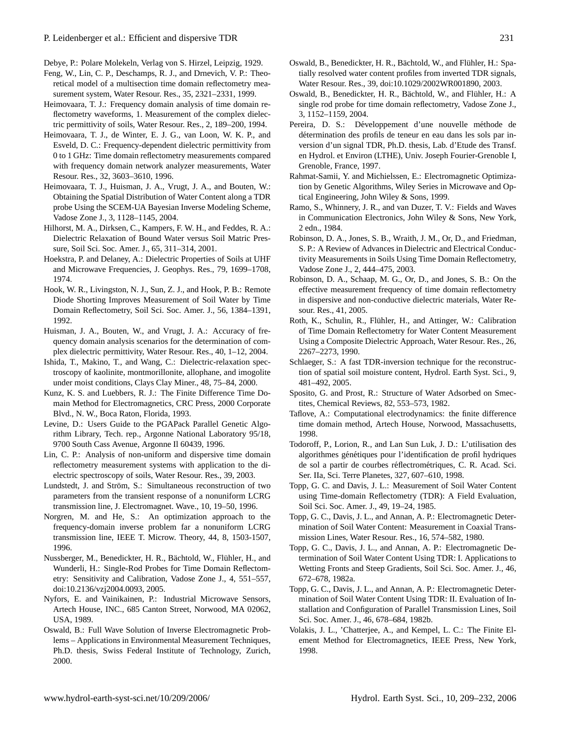Debye, P.: Polare Molekeln, Verlag von S. Hirzel, Leipzig, 1929.

- Feng, W., Lin, C. P., Deschamps, R. J., and Drnevich, V. P.: Theoretical model of a multisection time domain reflectometry measurement system, Water Resour. Res., 35, 2321–2331, 1999.
- Heimovaara, T. J.: Frequency domain analysis of time domain reflectometry waveforms, 1. Measurement of the complex dielectric permittivity of soils, Water Resour. Res., 2, 189–200, 1994.
- Heimovaara, T. J., de Winter, E. J. G., van Loon, W. K. P., and Esveld, D. C.: Frequency-dependent dielectric permittivity from 0 to 1 GHz: Time domain reflectometry measurements compared with frequency domain network analyzer measurements, Water Resour. Res., 32, 3603–3610, 1996.
- Heimovaara, T. J., Huisman, J. A., Vrugt, J. A., and Bouten, W.: Obtaining the Spatial Distribution of Water Content along a TDR probe Using the SCEM-UA Bayesian Inverse Modeling Scheme, Vadose Zone J., 3, 1128–1145, 2004.
- Hilhorst, M. A., Dirksen, C., Kampers, F. W. H., and Feddes, R. A.: Dielectric Relaxation of Bound Water versus Soil Matric Pressure, Soil Sci. Soc. Amer. J., 65, 311–314, 2001.
- Hoekstra, P. and Delaney, A.: Dielectric Properties of Soils at UHF and Microwave Frequencies, J. Geophys. Res., 79, 1699–1708, 1974.
- Hook, W. R., Livingston, N. J., Sun, Z. J., and Hook, P. B.: Remote Diode Shorting Improves Measurement of Soil Water by Time Domain Reflectometry, Soil Sci. Soc. Amer. J., 56, 1384–1391, 1992.
- Huisman, J. A., Bouten, W., and Vrugt, J. A.: Accuracy of frequency domain analysis scenarios for the determination of complex dielectric permittivity, Water Resour. Res., 40, 1–12, 2004.
- Ishida, T., Makino, T., and Wang, C.: Dielectric-relaxation spectroscopy of kaolinite, montmorillonite, allophane, and imogolite under moist conditions, Clays Clay Miner., 48, 75–84, 2000.
- Kunz, K. S. and Luebbers, R. J.: The Finite Difference Time Domain Method for Electromagnetics, CRC Press, 2000 Corporate Blvd., N. W., Boca Raton, Florida, 1993.
- Levine, D.: Users Guide to the PGAPack Parallel Genetic Algorithm Library, Tech. rep., Argonne National Laboratory 95/18, 9700 South Cass Avenue, Argonne Il 60439, 1996.
- Lin, C. P.: Analysis of non-uniform and dispersive time domain reflectometry measurement systems with application to the dielectric spectroscopy of soils, Water Resour. Res., 39, 2003.
- Lundstedt, J. and Ström, S.: Simultaneous reconstruction of two parameters from the transient response of a nonuniform LCRG transmission line, J. Electromagnet. Wave., 10, 19–50, 1996.
- Norgren, M. and He, S.: An optimization approach to the frequency-domain inverse problem far a nonuniform LCRG transmission line, IEEE T. Microw. Theory, 44, 8, 1503-1507, 1996.
- Nussberger, M., Benedickter, H. R., Bächtold, W., Flühler, H., and Wunderli, H.: Single-Rod Probes for Time Domain Reflectometry: Sensitivity and Calibration, Vadose Zone J., 4, 551–557, doi:10.2136/vzj2004.0093, 2005.
- Nyfors, E. and Vainikainen, P.: Industrial Microwave Sensors, Artech House, INC., 685 Canton Street, Norwood, MA 02062, USA, 1989.
- Oswald, B.: Full Wave Solution of Inverse Electromagnetic Problems – Applications in Environmental Measurement Techniques, Ph.D. thesis, Swiss Federal Institute of Technology, Zurich, 2000.
- Oswald, B., Benedickter, H. R., Bächtold, W., and Flühler, H.: Spatially resolved water content profiles from inverted TDR signals, Water Resour. Res., 39, doi:10.1029/2002WR001890, 2003.
- Oswald, B., Benedickter, H. R., Bächtold, W., and Flühler, H.: A single rod probe for time domain reflectometry, Vadose Zone J., 3, 1152–1159, 2004.
- Pereira, D. S.: Développement d'une nouvelle méthode de détermination des profils de teneur en eau dans les sols par inversion d'un signal TDR, Ph.D. thesis, Lab. d'Etude des Transf. en Hydrol. et Environ (LTHE), Univ. Joseph Fourier-Grenoble I, Grenoble, France, 1997.
- Rahmat-Samii, Y. and Michielssen, E.: Electromagnetic Optimization by Genetic Algorithms, Wiley Series in Microwave and Optical Engineering, John Wiley & Sons, 1999.
- Ramo, S., Whinnery, J. R., and van Duzer, T. V.: Fields and Waves in Communication Electronics, John Wiley & Sons, New York, 2 edn., 1984.
- Robinson, D. A., Jones, S. B., Wraith, J. M., Or, D., and Friedman, S. P.: A Review of Advances in Dielectric and Electrical Conductivity Measurements in Soils Using Time Domain Reflectometry, Vadose Zone J., 2, 444–475, 2003.
- Robinson, D. A., Schaap, M. G., Or, D., and Jones, S. B.: On the effective measurement frequency of time domain reflectometry in dispersive and non-conductive dielectric materials, Water Resour. Res., 41, 2005.
- Roth, K., Schulin, R., Flühler, H., and Attinger, W.: Calibration of Time Domain Reflectometry for Water Content Measurement Using a Composite Dielectric Approach, Water Resour. Res., 26, 2267–2273, 1990.
- Schlaeger, S.: A fast TDR-inversion technique for the reconstruction of spatial soil moisture content, Hydrol. Earth Syst. Sci., 9, 481–492, 2005.
- Sposito, G. and Prost, R.: Structure of Water Adsorbed on Smectites, Chemical Reviews, 82, 553–573, 1982.
- Taflove, A.: Computational electrodynamics: the finite difference time domain method, Artech House, Norwood, Massachusetts, 1998.
- Todoroff, P., Lorion, R., and Lan Sun Luk, J. D.: L'utilisation des algorithmes génétiques pour l'identification de profil hydriques de sol a partir de courbes réflectrométriques, C. R. Acad. Sci. Ser. IIa, Sci. Terre Planetes, 327, 607–610, 1998.
- Topp, G. C. and Davis, J. L.: Measurement of Soil Water Content using Time-domain Reflectometry (TDR): A Field Evaluation, Soil Sci. Soc. Amer. J., 49, 19–24, 1985.
- Topp, G. C., Davis, J. L., and Annan, A. P.: Electromagnetic Determination of Soil Water Content: Measurement in Coaxial Transmission Lines, Water Resour. Res., 16, 574–582, 1980.
- Topp, G. C., Davis, J. L., and Annan, A. P.: Electromagnetic Determination of Soil Water Content Using TDR: I. Applications to Wetting Fronts and Steep Gradients, Soil Sci. Soc. Amer. J., 46, 672–678, 1982a.
- Topp, G. C., Davis, J. L., and Annan, A. P.: Electromagnetic Determination of Soil Water Content Using TDR: II. Evaluation of Installation and Configuration of Parallel Transmission Lines, Soil Sci. Soc. Amer. J., 46, 678–684, 1982b.
- Volakis, J. L., 'Chatterjee, A., and Kempel, L. C.: The Finite Element Method for Electromagnetics, IEEE Press, New York, 1998.